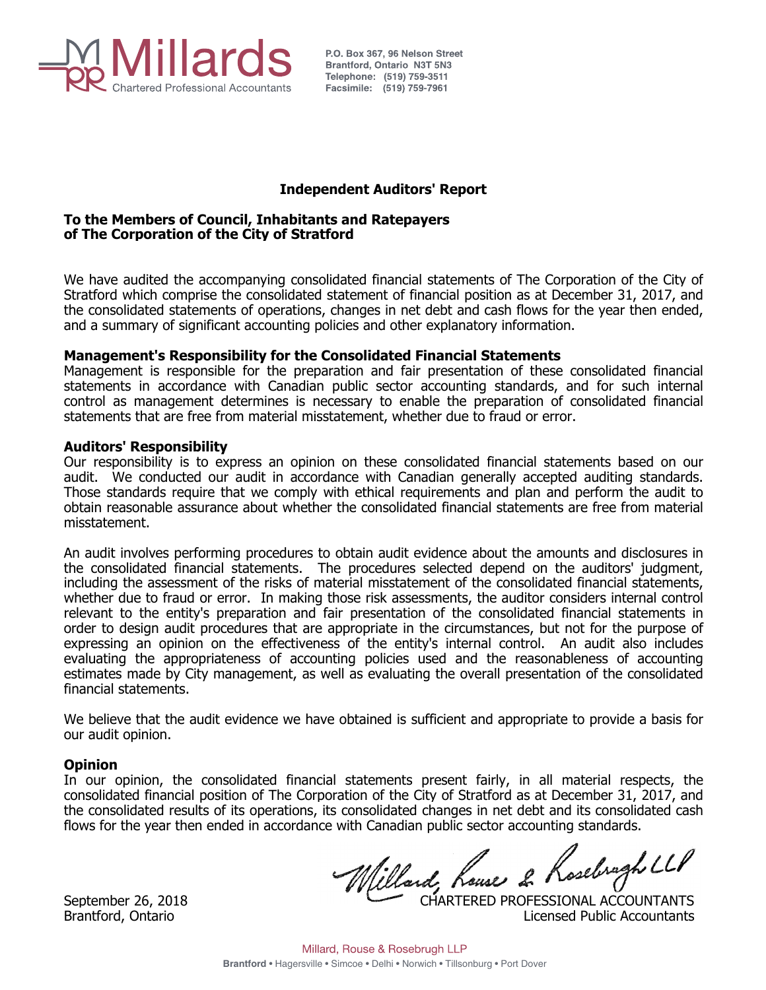

P.O. Box 367, 96 Nelson Street

# **Independent Auditors' Report**

# **To the Members of Council, Inhabitants and Ratepayers of The Corporation of the City of Stratford**

 We have audited the accompanying consolidated financial statements of The Corporation of the City of Stratford which comprise the consolidated statement of financial position as at December 31, 2017, and the consolidated statements of operations, changes in net debt and cash flows for the year then ended, and a summary of significant accounting policies and other explanatory information.

# **Management's Responsibility for the Consolidated Financial Statements**

 Management is responsible for the preparation and fair presentation of these consolidated financial statements in accordance with Canadian public sector accounting standards, and for such internal control as management determines is necessary to enable the preparation of consolidated financial statements that are free from material misstatement, whether due to fraud or error.

# **Auditors' Responsibility**

 Our responsibility is to express an opinion on these consolidated financial statements based on our audit. We conducted our audit in accordance with Canadian generally accepted auditing standards. Those standards require that we comply with ethical requirements and plan and perform the audit to obtain reasonable assurance about whether the consolidated financial statements are free from material misstatement.

 An audit involves performing procedures to obtain audit evidence about the amounts and disclosures in the consolidated financial statements. The procedures selected depend on the auditors' judgment, including the assessment of the risks of material misstatement of the consolidated financial statements, whether due to fraud or error. In making those risk assessments, the auditor considers internal control relevant to the entity's preparation and fair presentation of the consolidated financial statements in order to design audit procedures that are appropriate in the circumstances, but not for the purpose of expressing an opinion on the effectiveness of the entity's internal control. An audit also includes evaluating the appropriateness of accounting policies used and the reasonableness of accounting estimates made by City management, as well as evaluating the overall presentation of the consolidated financial statements.

 We believe that the audit evidence we have obtained is sufficient and appropriate to provide a basis for our audit opinion.

# **Opinion**

 In our opinion, the consolidated financial statements present fairly, in all material respects, the consolidated financial position of The Corporation of the City of Stratford as at December 31, 2017, and the consolidated results of its operations, its consolidated changes in net debt and its consolidated cash flows for the year then ended in accordance with Canadian public sector accounting standards.

September 26, 2018 CHARTERED PROFESSIONAL ACCOUNTANTS

Brantford, Ontario **Licensed Public Accountants**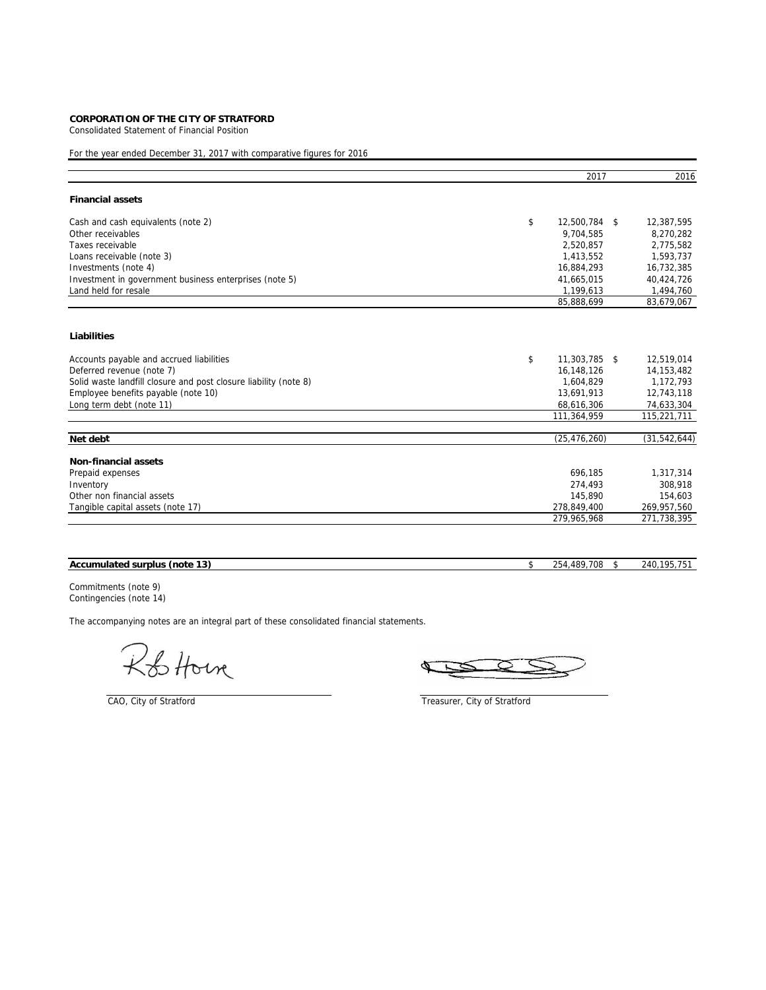Consolidated Statement of Financial Position

# For the year ended December 31, 2017 with comparative figures for 2016

|                                                                  | 2017                | 2016           |
|------------------------------------------------------------------|---------------------|----------------|
| <b>Financial assets</b>                                          |                     |                |
| Cash and cash equivalents (note 2)                               | \$<br>12,500,784 \$ | 12,387,595     |
| Other receivables                                                | 9,704,585           | 8,270,282      |
| Taxes receivable                                                 | 2,520,857           | 2,775,582      |
| Loans receivable (note 3)                                        | 1,413,552           | 1,593,737      |
| Investments (note 4)                                             | 16,884,293          | 16,732,385     |
| Investment in government business enterprises (note 5)           | 41,665,015          | 40,424,726     |
| Land held for resale                                             | 1,199,613           | 1,494,760      |
|                                                                  | 85,888,699          | 83,679,067     |
| Liabilities                                                      |                     |                |
| Accounts payable and accrued liabilities                         | \$<br>11,303,785 \$ | 12,519,014     |
| Deferred revenue (note 7)                                        | 16,148,126          | 14, 153, 482   |
| Solid waste landfill closure and post closure liability (note 8) | 1,604,829           | 1,172,793      |
| Employee benefits payable (note 10)                              | 13,691,913          | 12,743,118     |
| Long term debt (note 11)                                         | 68,616,306          | 74,633,304     |
|                                                                  | 111,364,959         | 115,221,711    |
| Net debt                                                         | (25, 476, 260)      | (31, 542, 644) |
|                                                                  |                     |                |
| <b>Non-financial assets</b>                                      |                     |                |
| Prepaid expenses                                                 | 696,185             | 1,317,314      |
| Inventory                                                        | 274,493             | 308,918        |
| Other non financial assets                                       | 145.890             | 154,603        |
| Tangible capital assets (note 17)                                | 278,849,400         | 269,957,560    |
|                                                                  | 279,965,968         | 271,738,395    |

| 13<br><b>Accum</b><br>(note<br>nulated<br>surplus | 700<br>.480<br>つにん<br><br>$\overline{\mathbf{u}}$<br>$-1$ | --<br>$\overline{A}$<br>ን4በ<br>יט ו |
|---------------------------------------------------|-----------------------------------------------------------|-------------------------------------|
|                                                   |                                                           |                                     |

Commitments (note 9) Contingencies (note 14)

R&Horn

CAO, City of Stratford Treasurer, City of Stratford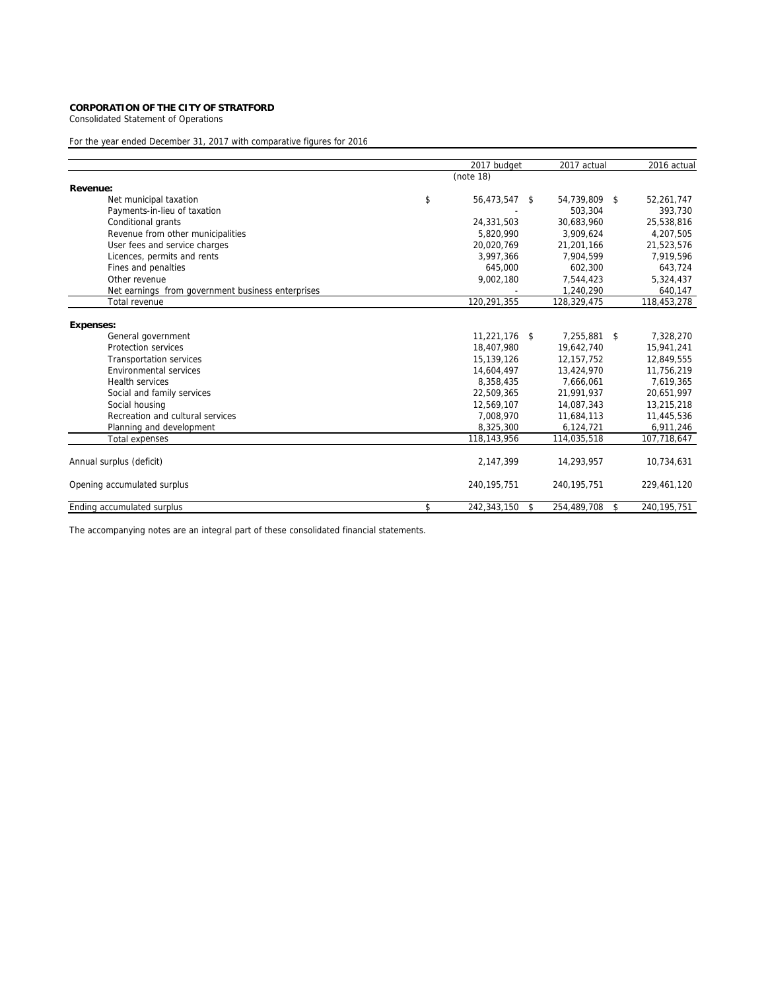Consolidated Statement of Operations

# For the year ended December 31, 2017 with comparative figures for 2016

|                                                   | 2017 budget       | 2017 actual       | 2016 actual       |
|---------------------------------------------------|-------------------|-------------------|-------------------|
|                                                   | (note 18)         |                   |                   |
| Revenue:                                          |                   |                   |                   |
| Net municipal taxation                            | \$<br>56,473,547  | \$<br>54,739,809  | \$<br>52,261,747  |
| Payments-in-lieu of taxation                      |                   | 503,304           | 393,730           |
| Conditional grants                                | 24,331,503        | 30.683.960        | 25,538,816        |
| Revenue from other municipalities                 | 5,820,990         | 3,909,624         | 4,207,505         |
| User fees and service charges                     | 20.020.769        | 21,201,166        | 21,523,576        |
| Licences, permits and rents                       | 3,997,366         | 7,904,599         | 7,919,596         |
| Fines and penalties                               | 645.000           | 602.300           | 643,724           |
| Other revenue                                     | 9,002,180         | 7,544,423         | 5,324,437         |
| Net earnings from government business enterprises |                   | 1,240,290         | 640,147           |
| Total revenue                                     | 120,291,355       | 128,329,475       | 118,453,278       |
|                                                   |                   |                   |                   |
| <b>Expenses:</b>                                  |                   |                   |                   |
| General government                                | 11,221,176 \$     | 7.255.881 \$      | 7,328,270         |
| Protection services                               | 18,407,980        | 19.642.740        | 15.941.241        |
| <b>Transportation services</b>                    | 15,139,126        | 12, 157, 752      | 12,849,555        |
| Environmental services                            | 14,604,497        | 13,424,970        | 11,756,219        |
| <b>Health services</b>                            | 8.358.435         | 7.666.061         | 7,619,365         |
| Social and family services                        | 22,509,365        | 21,991,937        | 20,651,997        |
| Social housing                                    | 12,569,107        | 14,087,343        | 13,215,218        |
| Recreation and cultural services                  | 7.008.970         | 11,684,113        | 11,445,536        |
| Planning and development                          | 8,325,300         | 6,124,721         | 6,911,246         |
| Total expenses                                    | 118,143,956       | 114,035,518       | 107,718,647       |
|                                                   |                   |                   |                   |
| Annual surplus (deficit)                          | 2,147,399         | 14,293,957        | 10,734,631        |
| Opening accumulated surplus                       | 240,195,751       | 240, 195, 751     | 229,461,120       |
| Ending accumulated surplus                        | \$<br>242,343,150 | \$<br>254,489,708 | \$<br>240,195,751 |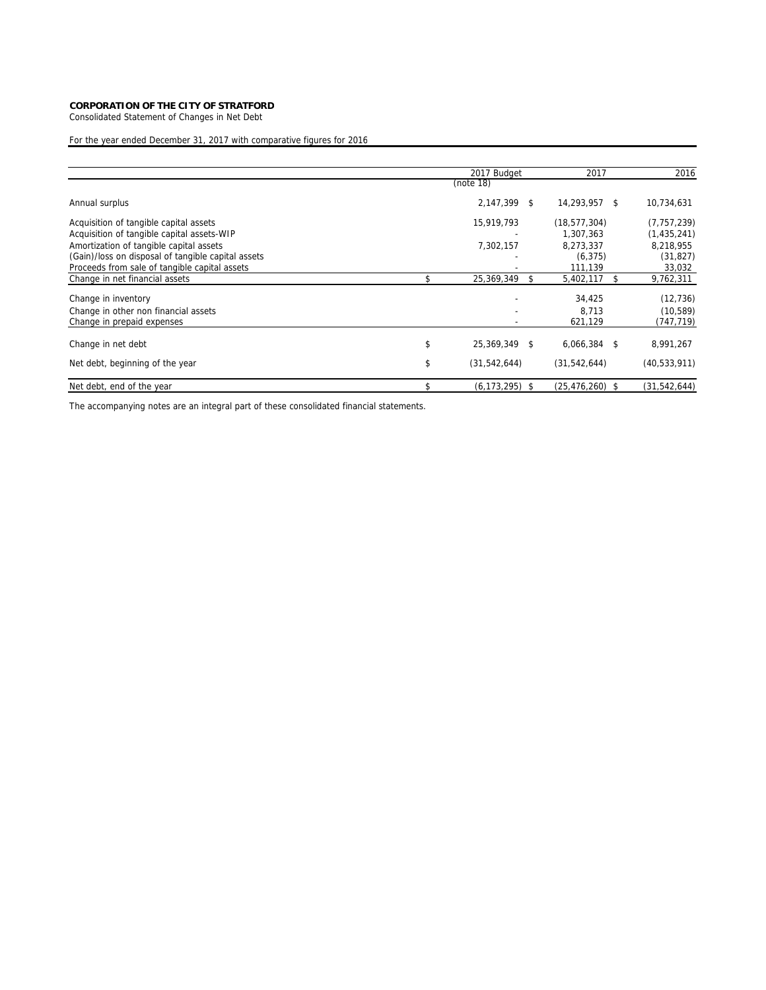Consolidated Statement of Changes in Net Debt

For the year ended December 31, 2017 with comparative figures for 2016

|                                                                                               | 2017 Budget          |     | 2017                  |     | 2016                   |
|-----------------------------------------------------------------------------------------------|----------------------|-----|-----------------------|-----|------------------------|
|                                                                                               | (note 18)            |     |                       |     |                        |
| Annual surplus                                                                                | 2,147,399            | \$. | 14,293,957            | \$. | 10,734,631             |
| Acquisition of tangible capital assets                                                        | 15,919,793           |     | (18, 577, 304)        |     | (7, 757, 239)          |
| Acquisition of tangible capital assets-WIP                                                    |                      |     | 1,307,363             |     | (1, 435, 241)          |
| Amortization of tangible capital assets<br>(Gain)/loss on disposal of tangible capital assets | 7,302,157            |     | 8.273.337<br>(6, 375) |     | 8,218,955<br>(31, 827) |
| Proceeds from sale of tangible capital assets                                                 |                      |     | 111,139               |     | 33,032                 |
| Change in net financial assets                                                                | 25,369,349           |     | 5,402,117             |     | 9,762,311              |
| Change in inventory                                                                           |                      |     | 34,425                |     | (12, 736)              |
| Change in other non financial assets                                                          |                      |     | 8.713                 |     | (10, 589)              |
| Change in prepaid expenses                                                                    |                      |     | 621,129               |     | (747, 719)             |
| Change in net debt                                                                            | \$<br>25,369,349     | \$. | 6,066,384             | \$. | 8,991,267              |
| Net debt, beginning of the year                                                               | \$<br>(31, 542, 644) |     | (31, 542, 644)        |     | (40, 533, 911)         |
| Net debt, end of the year                                                                     | (6, 173, 295)        | S   | (25, 476, 260)        | -S  | (31, 542, 644)         |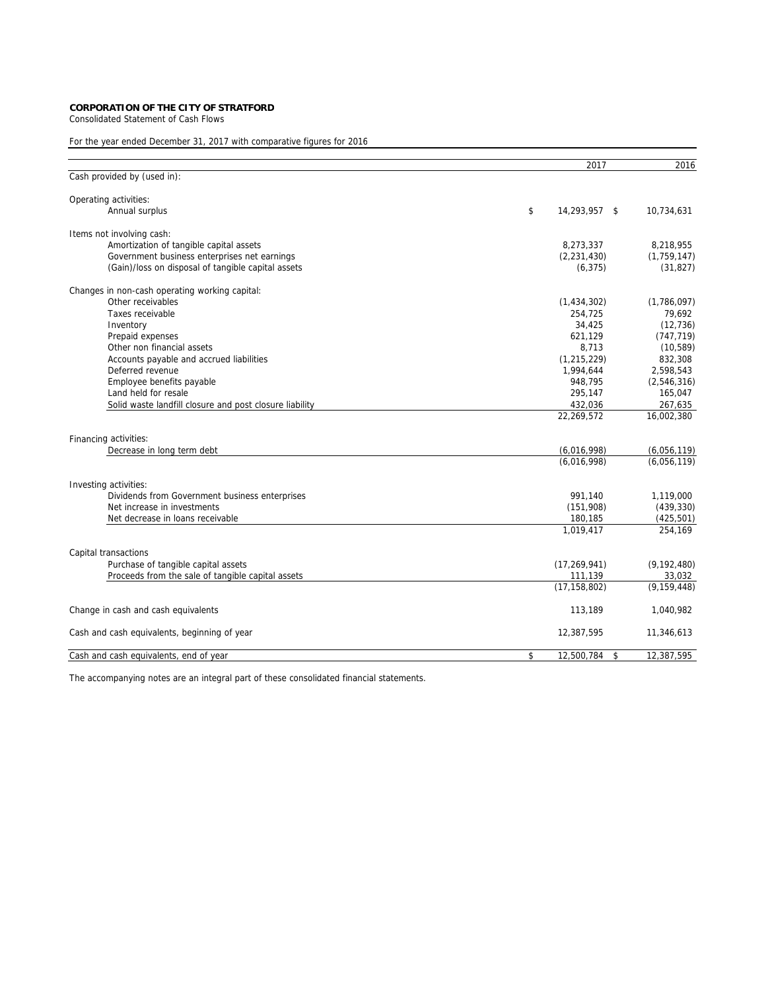Consolidated Statement of Cash Flows

# For the year ended December 31, 2017 with comparative figures for 2016

|                                                         | 2017                   | 2016          |
|---------------------------------------------------------|------------------------|---------------|
| Cash provided by (used in):                             |                        |               |
| Operating activities:                                   |                        |               |
| Annual surplus                                          | \$<br>14,293,957 \$    | 10,734,631    |
| Items not involving cash:                               |                        |               |
| Amortization of tangible capital assets                 | 8,273,337              | 8,218,955     |
| Government business enterprises net earnings            | (2, 231, 430)          | (1,759,147)   |
| (Gain)/loss on disposal of tangible capital assets      | (6, 375)               | (31, 827)     |
| Changes in non-cash operating working capital:          |                        |               |
| Other receivables                                       | (1,434,302)            | (1,786,097)   |
| Taxes receivable                                        | 254,725                | 79,692        |
| Inventory                                               | 34,425                 | (12, 736)     |
| Prepaid expenses                                        | 621,129                | (747, 719)    |
| Other non financial assets                              | 8,713                  | (10, 589)     |
| Accounts payable and accrued liabilities                | (1, 215, 229)          | 832,308       |
| Deferred revenue                                        | 1,994,644              | 2,598,543     |
| Employee benefits payable                               | 948.795                | (2,546,316)   |
| Land held for resale                                    | 295,147                | 165,047       |
| Solid waste landfill closure and post closure liability | 432,036                | 267,635       |
|                                                         | 22,269,572             | 16,002,380    |
| Financing activities:                                   |                        |               |
| Decrease in long term debt                              | (6,016,998)            | (6,056,119)   |
|                                                         | (6,016,998)            | (6,056,119)   |
| Investing activities:                                   |                        |               |
| Dividends from Government business enterprises          | 991.140                | 1,119,000     |
| Net increase in investments                             | (151,908)              | (439, 330)    |
| Net decrease in loans receivable                        | 180,185                | (425, 501)    |
|                                                         | 1,019,417              | 254,169       |
| Capital transactions                                    |                        |               |
| Purchase of tangible capital assets                     | (17, 269, 941)         | (9, 192, 480) |
| Proceeds from the sale of tangible capital assets       | 111,139                | 33,032        |
|                                                         | (17, 158, 802)         | (9, 159, 448) |
| Change in cash and cash equivalents                     | 113,189                | 1,040,982     |
| Cash and cash equivalents, beginning of year            | 12,387,595             | 11,346,613    |
| Cash and cash equivalents, end of year                  | \$<br>12,500,784<br>\$ | 12,387,595    |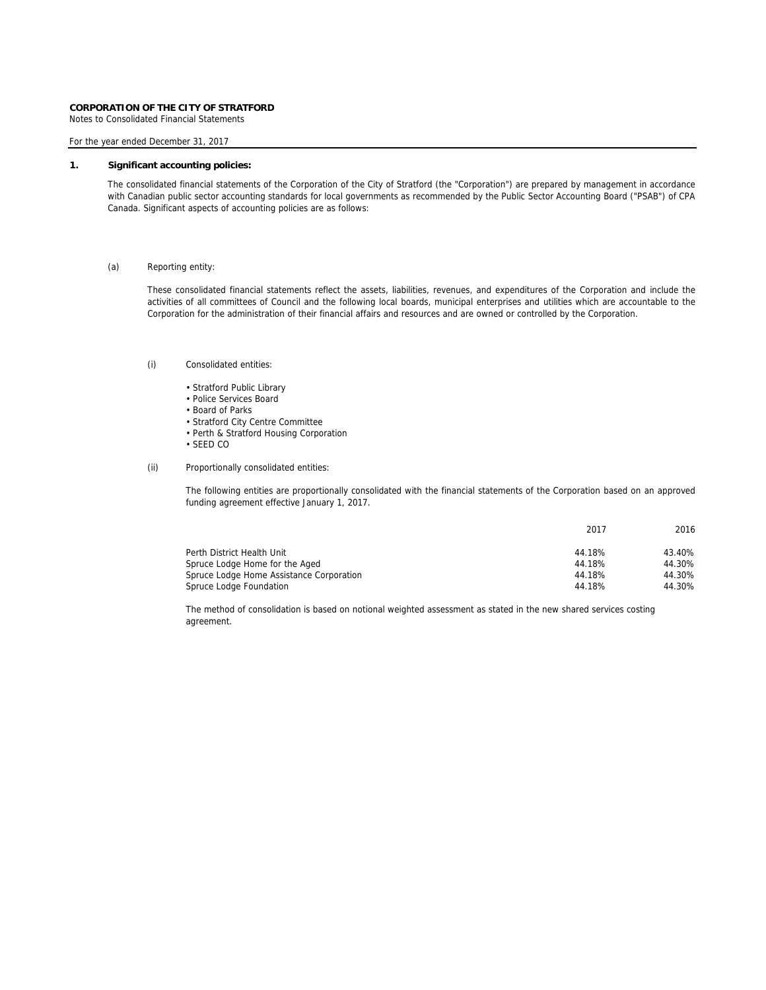Notes to Consolidated Financial Statements

For the year ended December 31, 2017

# **1. Significant accounting policies:**

The consolidated financial statements of the Corporation of the City of Stratford (the "Corporation") are prepared by management in accordance with Canadian public sector accounting standards for local governments as recommended by the Public Sector Accounting Board ("PSAB") of CPA Canada. Significant aspects of accounting policies are as follows:

## (a) Reporting entity:

These consolidated financial statements reflect the assets, liabilities, revenues, and expenditures of the Corporation and include the activities of all committees of Council and the following local boards, municipal enterprises and utilities which are accountable to the Corporation for the administration of their financial affairs and resources and are owned or controlled by the Corporation.

## (i) Consolidated entities:

- Stratford Public Library
- Police Services Board
- Board of Parks
- Stratford City Centre Committee
- Perth & Stratford Housing Corporation
- SEED CO
- (ii) Proportionally consolidated entities:

The following entities are proportionally consolidated with the financial statements of the Corporation based on an approved funding agreement effective January 1, 2017.

|                                          | 2017   | 2016   |
|------------------------------------------|--------|--------|
| Perth District Health Unit               | 44.18% | 43.40% |
| Spruce Lodge Home for the Aged           | 44.18% | 44.30% |
| Spruce Lodge Home Assistance Corporation | 44.18% | 44.30% |
| Spruce Lodge Foundation                  | 44.18% | 44.30% |

The method of consolidation is based on notional weighted assessment as stated in the new shared services costing agreement.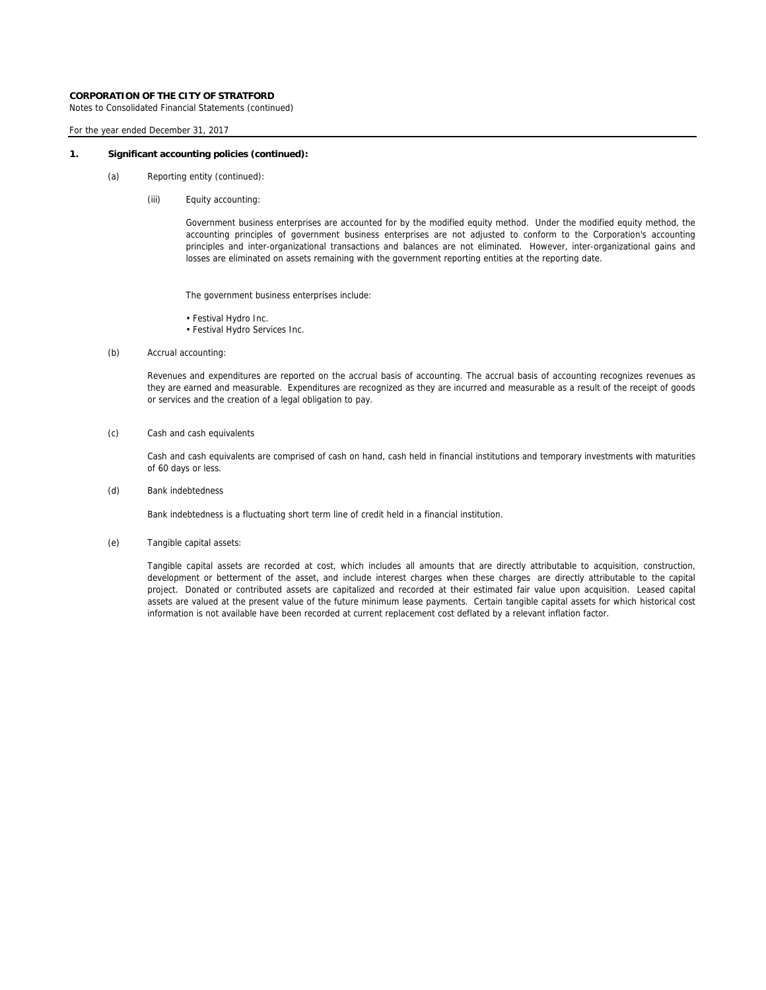Notes to Consolidated Financial Statements (continued)

## For the year ended December 31, 2017

### **1. Significant accounting policies (continued):**

- (a) Reporting entity (continued):
	- (iii) Equity accounting:

Government business enterprises are accounted for by the modified equity method. Under the modified equity method, the accounting principles of government business enterprises are not adjusted to conform to the Corporation's accounting principles and inter-organizational transactions and balances are not eliminated. However, inter-organizational gains and losses are eliminated on assets remaining with the government reporting entities at the reporting date.

The government business enterprises include:

- Festival Hydro Inc.
- Festival Hydro Services Inc.
- (b) Accrual accounting:

Revenues and expenditures are reported on the accrual basis of accounting. The accrual basis of accounting recognizes revenues as they are earned and measurable. Expenditures are recognized as they are incurred and measurable as a result of the receipt of goods or services and the creation of a legal obligation to pay.

(c) Cash and cash equivalents

Cash and cash equivalents are comprised of cash on hand, cash held in financial institutions and temporary investments with maturities of 60 days or less.

(d) Bank indebtedness

Bank indebtedness is a fluctuating short term line of credit held in a financial institution.

(e) Tangible capital assets:

Tangible capital assets are recorded at cost, which includes all amounts that are directly attributable to acquisition, construction, development or betterment of the asset, and include interest charges when these charges are directly attributable to the capital project. Donated or contributed assets are capitalized and recorded at their estimated fair value upon acquisition. Leased capital assets are valued at the present value of the future minimum lease payments. Certain tangible capital assets for which historical cost information is not available have been recorded at current replacement cost deflated by a relevant inflation factor.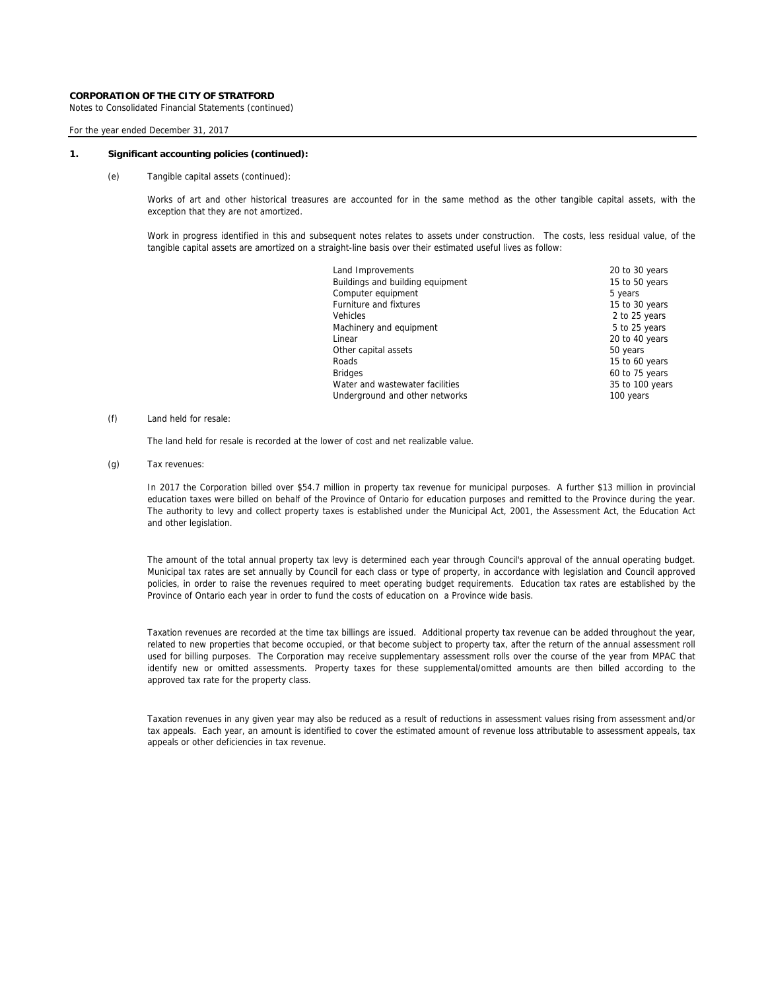Notes to Consolidated Financial Statements (continued)

## For the year ended December 31, 2017

### **1. Significant accounting policies (continued):**

(e) Tangible capital assets (continued):

Works of art and other historical treasures are accounted for in the same method as the other tangible capital assets, with the exception that they are not amortized.

Work in progress identified in this and subsequent notes relates to assets under construction. The costs, less residual value, of the tangible capital assets are amortized on a straight-line basis over their estimated useful lives as follow:

| Land Improvements                | 20 to 30 years  |
|----------------------------------|-----------------|
| Buildings and building equipment | 15 to 50 years  |
| Computer equipment               | 5 years         |
| <b>Furniture and fixtures</b>    | 15 to 30 years  |
| Vehicles                         | 2 to 25 years   |
| Machinery and equipment          | 5 to 25 years   |
| Linear                           | 20 to 40 years  |
| Other capital assets             | 50 years        |
| Roads                            | 15 to 60 years  |
| <b>Bridges</b>                   | 60 to 75 years  |
| Water and wastewater facilities  | 35 to 100 years |
| Underground and other networks   | 100 years       |
|                                  |                 |

# (f) Land held for resale:

The land held for resale is recorded at the lower of cost and net realizable value.

(g) Tax revenues:

In 2017 the Corporation billed over \$54.7 million in property tax revenue for municipal purposes. A further \$13 million in provincial education taxes were billed on behalf of the Province of Ontario for education purposes and remitted to the Province during the year. The authority to levy and collect property taxes is established under the Municipal Act, 2001, the Assessment Act, the Education Act and other legislation.

The amount of the total annual property tax levy is determined each year through Council's approval of the annual operating budget. Municipal tax rates are set annually by Council for each class or type of property, in accordance with legislation and Council approved policies, in order to raise the revenues required to meet operating budget requirements. Education tax rates are established by the Province of Ontario each year in order to fund the costs of education on a Province wide basis.

Taxation revenues are recorded at the time tax billings are issued. Additional property tax revenue can be added throughout the year, related to new properties that become occupied, or that become subject to property tax, after the return of the annual assessment roll used for billing purposes. The Corporation may receive supplementary assessment rolls over the course of the year from MPAC that identify new or omitted assessments. Property taxes for these supplemental/omitted amounts are then billed according to the approved tax rate for the property class.

Taxation revenues in any given year may also be reduced as a result of reductions in assessment values rising from assessment and/or tax appeals. Each year, an amount is identified to cover the estimated amount of revenue loss attributable to assessment appeals, tax appeals or other deficiencies in tax revenue.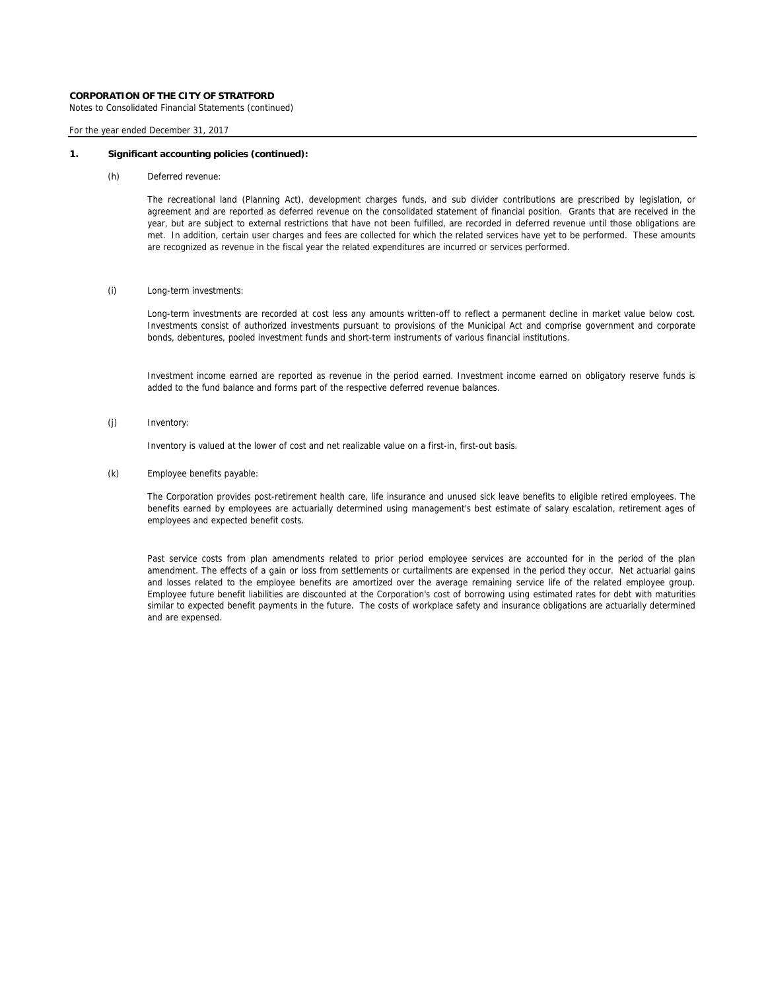Notes to Consolidated Financial Statements (continued)

## For the year ended December 31, 2017

### **1. Significant accounting policies (continued):**

(h) Deferred revenue:

The recreational land (Planning Act), development charges funds, and sub divider contributions are prescribed by legislation, or agreement and are reported as deferred revenue on the consolidated statement of financial position. Grants that are received in the year, but are subject to external restrictions that have not been fulfilled, are recorded in deferred revenue until those obligations are met. In addition, certain user charges and fees are collected for which the related services have yet to be performed. These amounts are recognized as revenue in the fiscal year the related expenditures are incurred or services performed.

## (i) Long-term investments:

Long-term investments are recorded at cost less any amounts written-off to reflect a permanent decline in market value below cost. Investments consist of authorized investments pursuant to provisions of the Municipal Act and comprise government and corporate bonds, debentures, pooled investment funds and short-term instruments of various financial institutions.

Investment income earned are reported as revenue in the period earned. Investment income earned on obligatory reserve funds is added to the fund balance and forms part of the respective deferred revenue balances.

(j) Inventory:

Inventory is valued at the lower of cost and net realizable value on a first-in, first-out basis.

(k) Employee benefits payable:

The Corporation provides post-retirement health care, life insurance and unused sick leave benefits to eligible retired employees. The benefits earned by employees are actuarially determined using management's best estimate of salary escalation, retirement ages of employees and expected benefit costs.

Past service costs from plan amendments related to prior period employee services are accounted for in the period of the plan amendment. The effects of a gain or loss from settlements or curtailments are expensed in the period they occur. Net actuarial gains and losses related to the employee benefits are amortized over the average remaining service life of the related employee group. Employee future benefit liabilities are discounted at the Corporation's cost of borrowing using estimated rates for debt with maturities similar to expected benefit payments in the future. The costs of workplace safety and insurance obligations are actuarially determined and are expensed.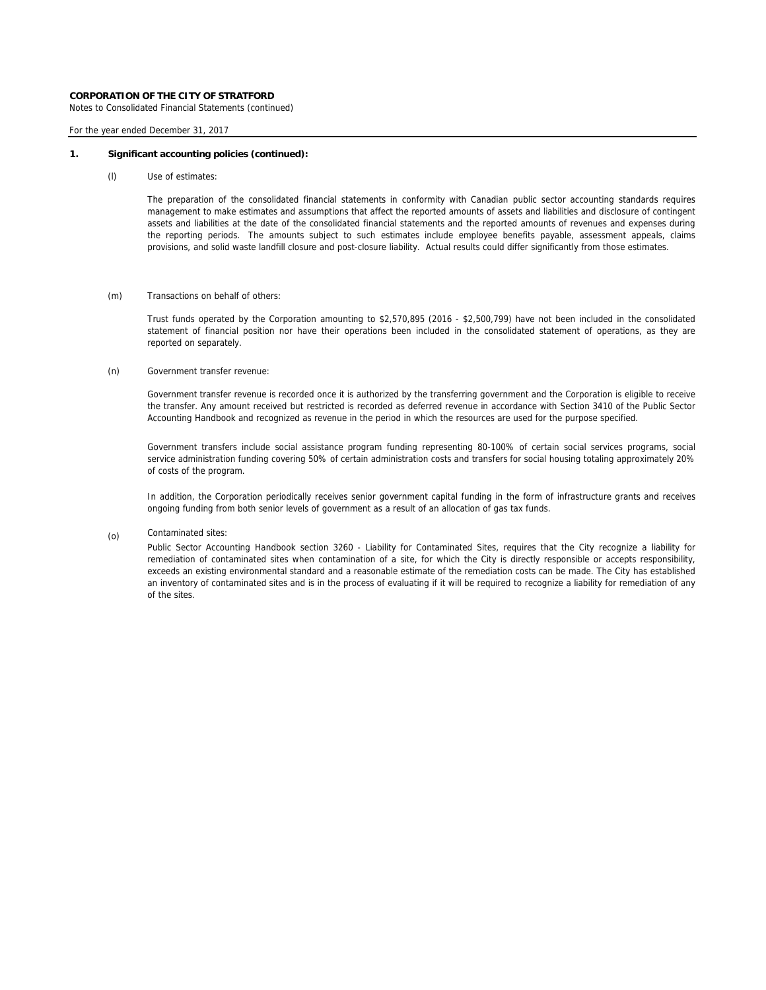Notes to Consolidated Financial Statements (continued)

For the year ended December 31, 2017

### **1. Significant accounting policies (continued):**

(l) Use of estimates:

The preparation of the consolidated financial statements in conformity with Canadian public sector accounting standards requires management to make estimates and assumptions that affect the reported amounts of assets and liabilities and disclosure of contingent assets and liabilities at the date of the consolidated financial statements and the reported amounts of revenues and expenses during the reporting periods. The amounts subject to such estimates include employee benefits payable, assessment appeals, claims provisions, and solid waste landfill closure and post-closure liability. Actual results could differ significantly from those estimates.

### (m) Transactions on behalf of others:

Trust funds operated by the Corporation amounting to \$2,570,895 (2016 - \$2,500,799) have not been included in the consolidated statement of financial position nor have their operations been included in the consolidated statement of operations, as they are reported on separately.

### (n) Government transfer revenue:

Government transfer revenue is recorded once it is authorized by the transferring government and the Corporation is eligible to receive the transfer. Any amount received but restricted is recorded as deferred revenue in accordance with Section 3410 of the Public Sector Accounting Handbook and recognized as revenue in the period in which the resources are used for the purpose specified.

Government transfers include social assistance program funding representing 80-100% of certain social services programs, social service administration funding covering 50% of certain administration costs and transfers for social housing totaling approximately 20% of costs of the program.

In addition, the Corporation periodically receives senior government capital funding in the form of infrastructure grants and receives ongoing funding from both senior levels of government as a result of an allocation of gas tax funds.

Contaminated sites: (o)

Public Sector Accounting Handbook section 3260 - Liability for Contaminated Sites, requires that the City recognize a liability for remediation of contaminated sites when contamination of a site, for which the City is directly responsible or accepts responsibility, exceeds an existing environmental standard and a reasonable estimate of the remediation costs can be made. The City has established an inventory of contaminated sites and is in the process of evaluating if it will be required to recognize a liability for remediation of any of the sites.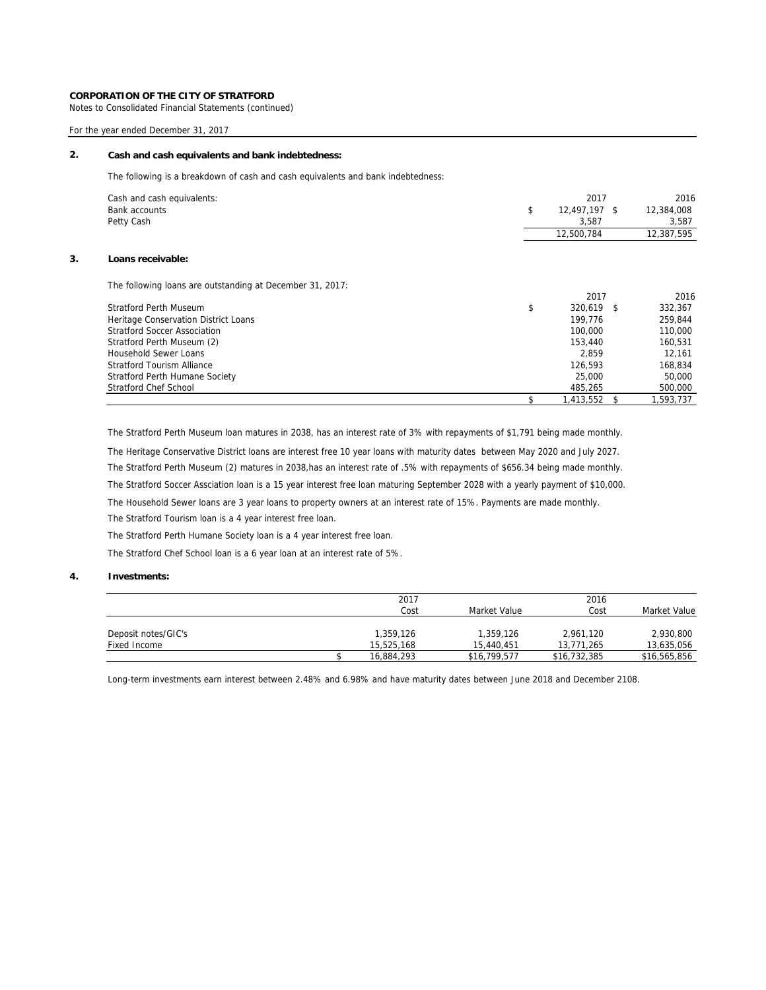Notes to Consolidated Financial Statements (continued)

# For the year ended December 31, 2017

# **2. Cash and cash equivalents and bank indebtedness:**

The following is a breakdown of cash and cash equivalents and bank indebtedness:

| Cash and cash equivalents:                                | 2017                | 2016            |
|-----------------------------------------------------------|---------------------|-----------------|
| Bank accounts                                             | \$<br>12,497,197 \$ | 12,384,008      |
| Petty Cash                                                | 3,587               | 3,587           |
|                                                           | 12,500,784          | 12,387,595      |
| Loans receivable:                                         |                     |                 |
| The following loans are outstanding at December 31, 2017: |                     |                 |
|                                                           | 2017                | 2016            |
| <b>Stratford Perth Museum</b>                             | \$<br>320,619 \$    | 332,367         |
| Heritage Conservation District Loans                      | 199.776             | 259,844         |
| Stratford Soccer Association                              | 100,000             | 110,000         |
| Stratford Perth Museum (2)                                | 153,440             | 160,531         |
| <b>Household Sewer Loans</b>                              | 2.859               | 12,161          |
| <b>Stratford Tourism Alliance</b>                         | 126,593             | 168,834         |
| <b>Stratford Perth Humane Society</b>                     | 25,000              | 50,000          |
| <b>Stratford Chef School</b>                              | 485,265             | 500,000         |
|                                                           | 1,413,552           | \$<br>1,593,737 |

The Stratford Perth Museum loan matures in 2038, has an interest rate of 3% with repayments of \$1,791 being made monthly.

The Heritage Conservative District loans are interest free 10 year loans with maturity dates between May 2020 and July 2027.

The Stratford Perth Museum (2) matures in 2038,has an interest rate of .5% with repayments of \$656.34 being made monthly.

The Stratford Soccer Assciation loan is a 15 year interest free loan maturing September 2028 with a yearly payment of \$10,000.

The Household Sewer loans are 3 year loans to property owners at an interest rate of 15%. Payments are made monthly.

The Stratford Tourism loan is a 4 year interest free loan.

The Stratford Perth Humane Society loan is a 4 year interest free loan.

The Stratford Chef School loan is a 6 year loan at an interest rate of 5%.

# **4. Investments:**

|                     | 2017       |              | 2016         |              |
|---------------------|------------|--------------|--------------|--------------|
|                     | Cost       | Market Value | Cost         | Market Value |
|                     |            |              |              |              |
| Deposit notes/GIC's | 1,359,126  | 1,359,126    | 2,961,120    | 2,930,800    |
| Fixed Income        | 15,525,168 | 15.440.451   | 13.771.265   | 13,635,056   |
|                     | 16,884,293 | \$16,799,577 | \$16,732,385 | \$16,565,856 |

Long-term investments earn interest between 2.48% and 6.98% and have maturity dates between June 2018 and December 2108.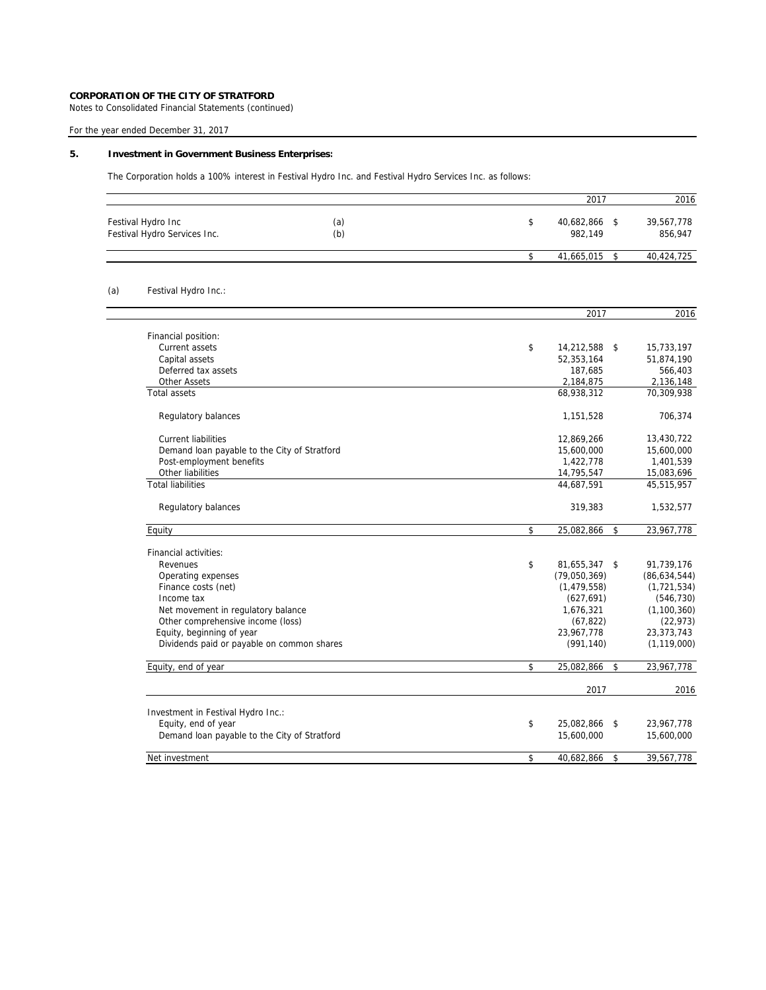Notes to Consolidated Financial Statements (continued)

For the year ended December 31, 2017

# **5. Investment in Government Business Enterprises:**

The Corporation holds a 100% interest in Festival Hydro Inc. and Festival Hydro Services Inc. as follows:

|     |                                                    |            | 2017                              | 2016                  |
|-----|----------------------------------------------------|------------|-----------------------------------|-----------------------|
|     | Festival Hydro Inc<br>Festival Hydro Services Inc. | (a)<br>(b) | \$<br>40,682,866<br>\$<br>982,149 | 39,567,778<br>856,947 |
|     |                                                    |            | \$<br>41,665,015<br>\$            | 40,424,725            |
| (a) | Festival Hydro Inc.:                               |            |                                   |                       |
|     |                                                    |            | 2017                              | 2016                  |
|     | Financial position:                                |            |                                   |                       |
|     | Current assets                                     |            | \$<br>14,212,588<br>\$            | 15,733,197            |
|     | Capital assets                                     |            | 52,353,164                        | 51,874,190            |
|     | Deferred tax assets                                |            | 187,685                           | 566,403               |
|     | <b>Other Assets</b>                                |            | 2,184,875                         | 2,136,148             |
|     | <b>Total assets</b>                                |            | 68,938,312                        | 70,309,938            |
|     | Regulatory balances                                |            | 1,151,528                         | 706,374               |
|     | <b>Current liabilities</b>                         |            | 12,869,266                        | 13,430,722            |
|     | Demand loan payable to the City of Stratford       |            | 15,600,000                        | 15,600,000            |
|     | Post-employment benefits                           |            | 1,422,778                         | 1,401,539             |
|     | Other liabilities                                  |            | 14,795,547                        | 15,083,696            |
|     | <b>Total liabilities</b>                           |            | 44,687,591                        | 45,515,957            |
|     | Regulatory balances                                |            | 319,383                           | 1,532,577             |
|     | Equity                                             |            | \$<br>\$<br>25,082,866            | 23,967,778            |
|     | Financial activities:                              |            |                                   |                       |
|     | Revenues                                           |            | \$<br>81,655,347 \$               | 91,739,176            |
|     | Operating expenses                                 |            | (79,050,369)                      | (86, 634, 544)        |
|     | Finance costs (net)                                |            | (1, 479, 558)                     | (1, 721, 534)         |
|     | Income tax                                         |            | (627, 691)                        | (546, 730)            |
|     | Net movement in regulatory balance                 |            | 1,676,321                         | (1, 100, 360)         |
|     | Other comprehensive income (loss)                  |            | (67, 822)                         | (22, 973)             |
|     | Equity, beginning of year                          |            | 23,967,778                        | 23, 373, 743          |
|     | Dividends paid or payable on common shares         |            | (991, 140)                        | (1, 119, 000)         |
|     | Equity, end of year                                |            | \$<br>25,082,866<br>\$            | 23,967,778            |
|     |                                                    |            | 2017                              | 2016                  |
|     | Investment in Festival Hydro Inc.:                 |            |                                   |                       |
|     | Equity, end of year                                |            | \$<br>25,082,866<br>\$            | 23,967,778            |
|     | Demand loan payable to the City of Stratford       |            | 15,600,000                        | 15,600,000            |
|     | Net investment                                     |            | \$<br>40,682,866<br>\$            | 39,567,778            |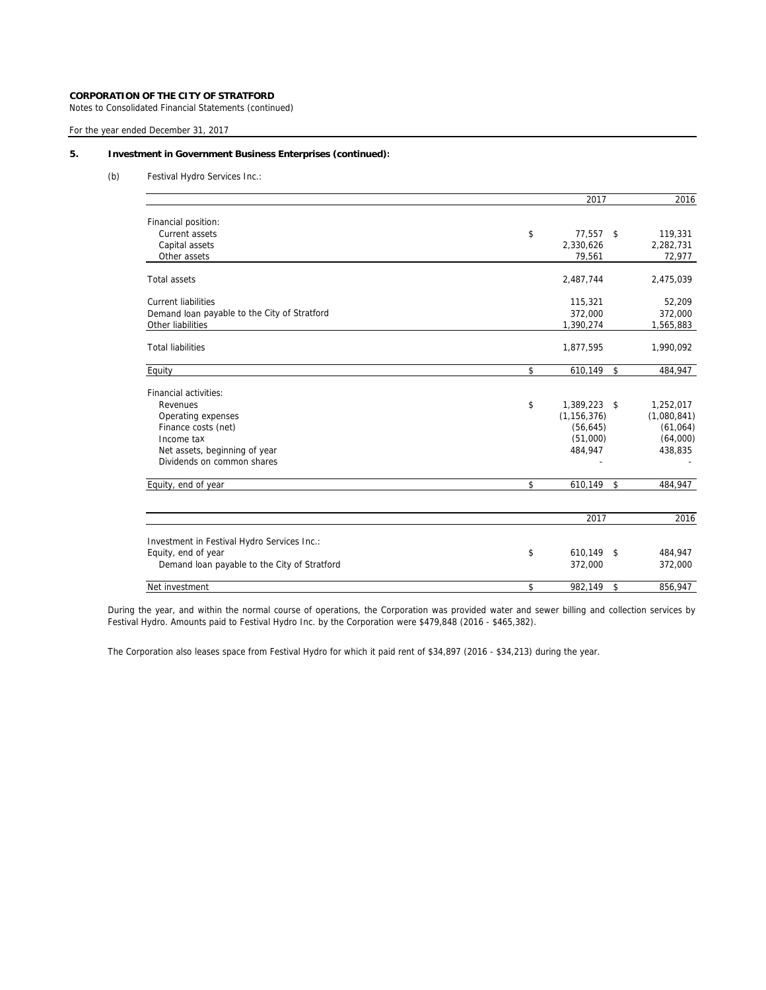Notes to Consolidated Financial Statements (continued)

For the year ended December 31, 2017

# **5. Investment in Government Business Enterprises (continued):**

(b) Festival Hydro Services Inc.:

|                                              | 2017                           | 2016        |
|----------------------------------------------|--------------------------------|-------------|
| Financial position:                          |                                |             |
| Current assets                               | \$<br>77,557<br>- \$           | 119,331     |
| Capital assets                               | 2,330,626                      | 2,282,731   |
| Other assets                                 | 79,561                         | 72,977      |
| <b>Total assets</b>                          | 2,487,744                      | 2,475,039   |
| <b>Current liabilities</b>                   | 115,321                        | 52,209      |
| Demand loan payable to the City of Stratford | 372,000                        | 372,000     |
| Other liabilities                            | 1,390,274                      | 1,565,883   |
| <b>Total liabilities</b>                     | 1,877,595                      | 1,990,092   |
| Equity                                       | \$<br>610,149<br>$\mathsf{\$}$ | 484,947     |
| Financial activities:                        |                                |             |
| Revenues                                     | \$<br>1,389,223 \$             | 1,252,017   |
| Operating expenses                           | (1, 156, 376)                  | (1,080,841) |
| Finance costs (net)                          | (56, 645)                      | (61,064)    |
| Income tax                                   | (51,000)                       | (64,000)    |
| Net assets, beginning of year                | 484,947                        | 438,835     |
| Dividends on common shares                   |                                |             |
| Equity, end of year                          | \$<br>610,149 \$               | 484,947     |
|                                              | 2017                           | 2016        |
| Investment in Festival Hydro Services Inc.:  |                                |             |
| Equity, end of year                          | \$<br>610,149 \$               | 484,947     |
| Demand loan payable to the City of Stratford | 372,000                        | 372,000     |
| Net investment                               | \$<br>982,149<br>\$            | 856,947     |
|                                              |                                |             |

During the year, and within the normal course of operations, the Corporation was provided water and sewer billing and collection services by Festival Hydro. Amounts paid to Festival Hydro Inc. by the Corporation were \$479,848 (2016 - \$465,382).

The Corporation also leases space from Festival Hydro for which it paid rent of \$34,897 (2016 - \$34,213) during the year.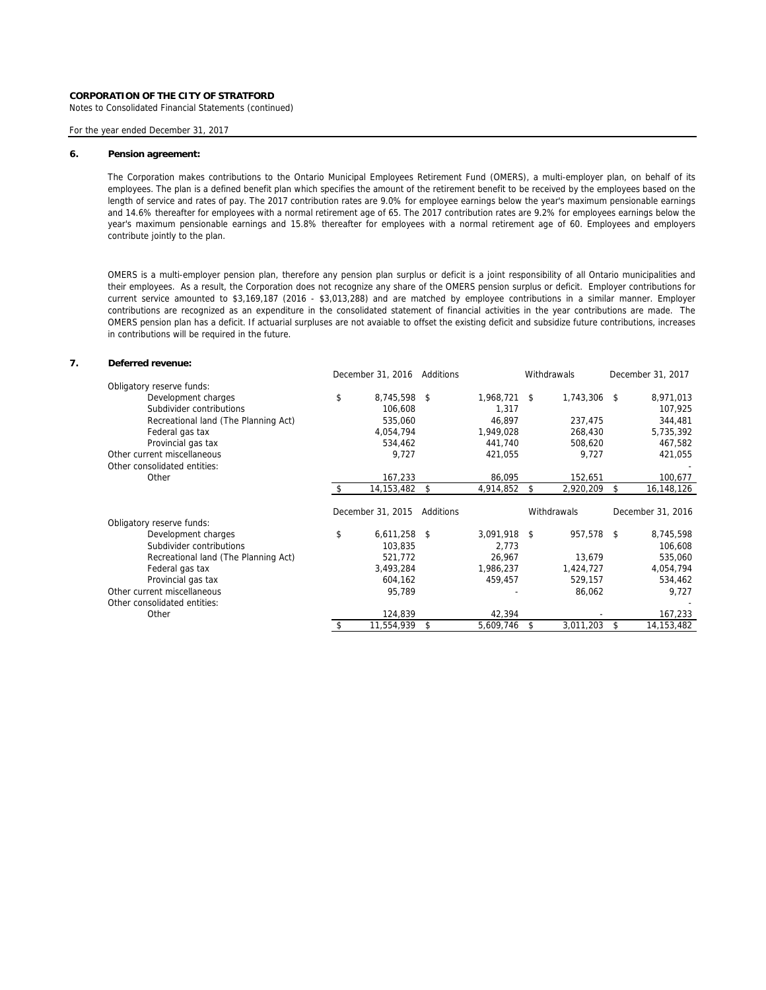Notes to Consolidated Financial Statements (continued)

## For the year ended December 31, 2017

#### **6. Pension agreement:**

The Corporation makes contributions to the Ontario Municipal Employees Retirement Fund (OMERS), a multi-employer plan, on behalf of its employees. The plan is a defined benefit plan which specifies the amount of the retirement benefit to be received by the employees based on the length of service and rates of pay. The 2017 contribution rates are 9.0% for employee earnings below the year's maximum pensionable earnings and 14.6% thereafter for employees with a normal retirement age of 65. The 2017 contribution rates are 9.2% for employees earnings below the year's maximum pensionable earnings and 15.8% thereafter for employees with a normal retirement age of 60. Employees and employers contribute jointly to the plan.

OMERS is a multi-employer pension plan, therefore any pension plan surplus or deficit is a joint responsibility of all Ontario municipalities and their employees. As a result, the Corporation does not recognize any share of the OMERS pension surplus or deficit. Employer contributions for current service amounted to \$3,169,187 (2016 - \$3,013,288) and are matched by employee contributions in a similar manner. Employer contributions are recognized as an expenditure in the consolidated statement of financial activities in the year contributions are made. The OMERS pension plan has a deficit. If actuarial surpluses are not avaiable to offset the existing deficit and subsidize future contributions, increases in contributions will be required in the future.

# **7. Deferred revenue:**

|                                      | December 31, 2016 Additions |           |              | Withdrawals     | December 31, 2017 |
|--------------------------------------|-----------------------------|-----------|--------------|-----------------|-------------------|
| Obligatory reserve funds:            |                             |           |              |                 |                   |
| Development charges                  | \$<br>8,745,598 \$          |           | 1,968,721 \$ | 1,743,306 \$    | 8,971,013         |
| Subdivider contributions             | 106,608                     |           | 1,317        |                 | 107,925           |
| Recreational land (The Planning Act) | 535,060                     |           | 46,897       | 237,475         | 344,481           |
| Federal gas tax                      | 4,054,794                   |           | 1,949,028    | 268,430         | 5,735,392         |
| Provincial gas tax                   | 534,462                     |           | 441,740      | 508,620         | 467,582           |
| Other current miscellaneous          | 9,727                       |           | 421,055      | 9,727           | 421,055           |
| Other consolidated entities:         |                             |           |              |                 |                   |
| Other                                | 167,233                     |           | 86,095       | 152,651         | 100,677           |
|                                      | 14,153,482                  | - \$      | 4,914,852    | \$<br>2,920,209 | \$<br>16,148,126  |
|                                      |                             |           |              |                 |                   |
|                                      |                             |           |              |                 |                   |
|                                      | December 31, 2015           | Additions |              | Withdrawals     | December 31, 2016 |
| Obligatory reserve funds:            |                             |           |              |                 |                   |
| Development charges                  | \$<br>$6,611,258$ \$        |           | 3,091,918 \$ | 957,578 \$      | 8,745,598         |
| Subdivider contributions             | 103.835                     |           | 2,773        |                 | 106,608           |
| Recreational land (The Planning Act) | 521,772                     |           | 26,967       | 13,679          | 535,060           |
| Federal gas tax                      | 3,493,284                   |           | 1,986,237    | 1,424,727       | 4,054,794         |
| Provincial gas tax                   | 604,162                     |           | 459,457      | 529,157         | 534,462           |
| Other current miscellaneous          | 95,789                      |           |              | 86,062          | 9,727             |
| Other consolidated entities:         |                             |           |              |                 |                   |
| Other                                | 124,839                     |           | 42,394       |                 | 167,233           |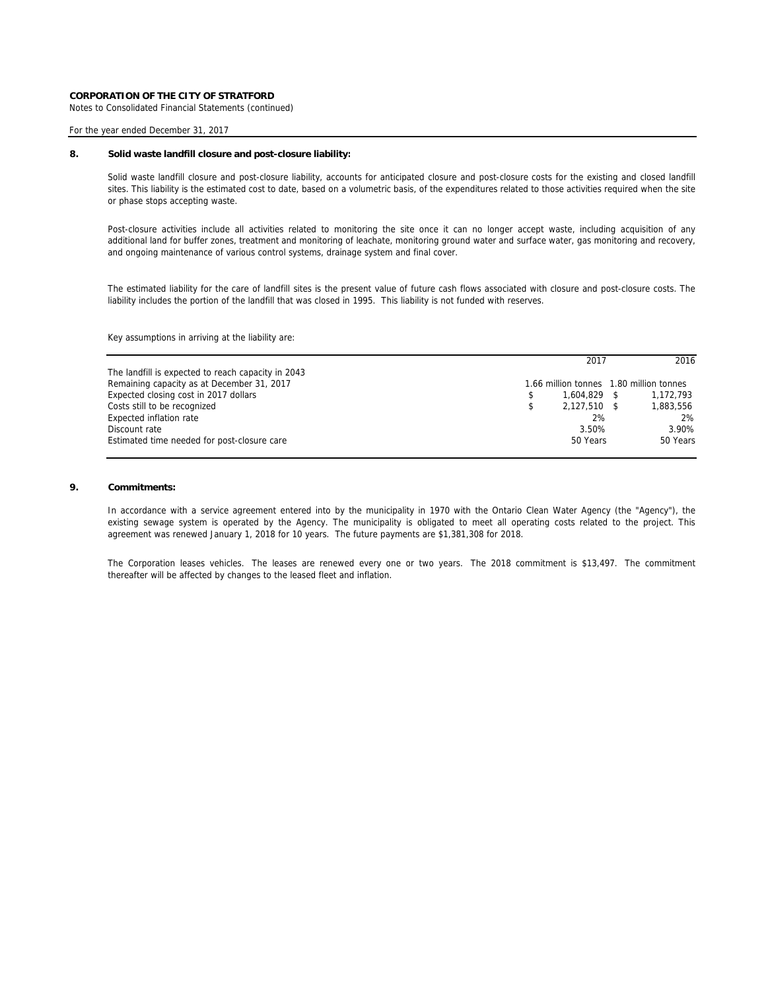Notes to Consolidated Financial Statements (continued)

For the year ended December 31, 2017

# **8. Solid waste landfill closure and post-closure liability:**

Solid waste landfill closure and post-closure liability, accounts for anticipated closure and post-closure costs for the existing and closed landfill sites. This liability is the estimated cost to date, based on a volumetric basis, of the expenditures related to those activities required when the site or phase stops accepting waste.

Post-closure activities include all activities related to monitoring the site once it can no longer accept waste, including acquisition of any additional land for buffer zones, treatment and monitoring of leachate, monitoring ground water and surface water, gas monitoring and recovery, and ongoing maintenance of various control systems, drainage system and final cover.

The estimated liability for the care of landfill sites is the present value of future cash flows associated with closure and post-closure costs. The liability includes the portion of the landfill that was closed in 1995. This liability is not funded with reserves.

Key assumptions in arriving at the liability are:

|                                                    | 2017                                    | 2016      |
|----------------------------------------------------|-----------------------------------------|-----------|
| The landfill is expected to reach capacity in 2043 |                                         |           |
| Remaining capacity as at December 31, 2017         | 1.66 million tonnes 1.80 million tonnes |           |
| Expected closing cost in 2017 dollars              | 1.604.829 \$                            | 1.172.793 |
| Costs still to be recognized                       | 2.127.510                               | 1,883,556 |
| Expected inflation rate                            | 2%                                      | 2%        |
| Discount rate                                      | 3.50%                                   | 3.90%     |
| Estimated time needed for post-closure care        | 50 Years                                | 50 Years  |

# **9. Commitments:**

In accordance with a service agreement entered into by the municipality in 1970 with the Ontario Clean Water Agency (the "Agency"), the existing sewage system is operated by the Agency. The municipality is obligated to meet all operating costs related to the project. This agreement was renewed January 1, 2018 for 10 years. The future payments are \$1,381,308 for 2018.

The Corporation leases vehicles. The leases are renewed every one or two years. The 2018 commitment is \$13,497. The commitment thereafter will be affected by changes to the leased fleet and inflation.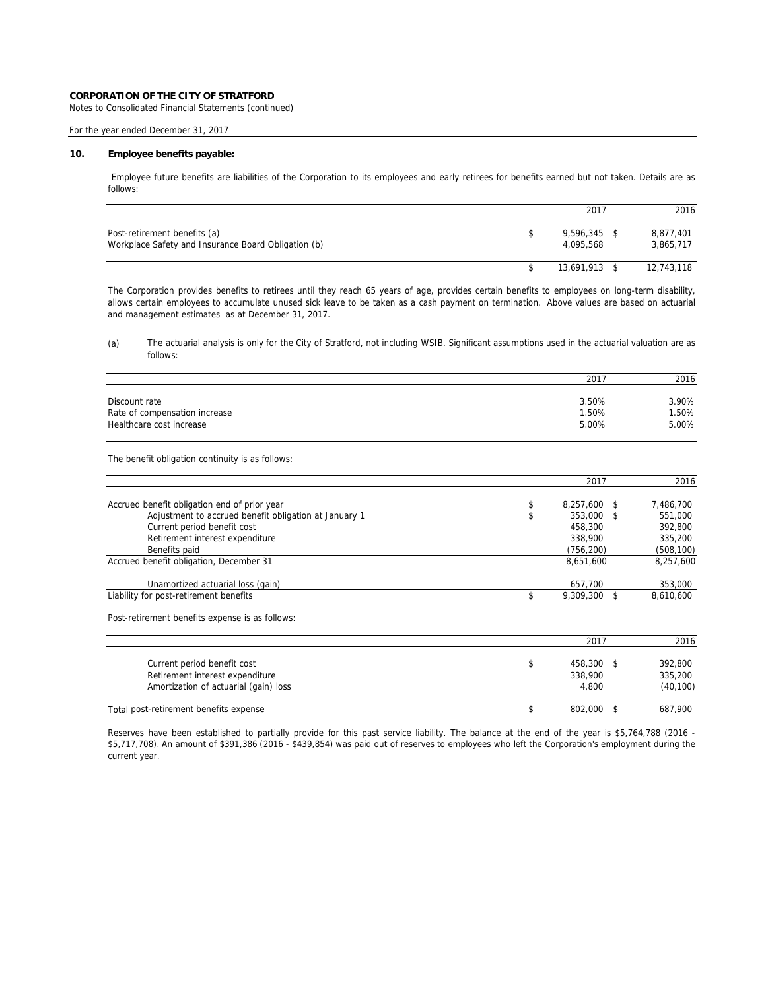Notes to Consolidated Financial Statements (continued)

# For the year ended December 31, 2017

### **10. Employee benefits payable:**

Employee future benefits are liabilities of the Corporation to its employees and early retirees for benefits earned but not taken. Details are as follows:

|                                                                                     | 2017                   | 2016                   |
|-------------------------------------------------------------------------------------|------------------------|------------------------|
| Post-retirement benefits (a)<br>Workplace Safety and Insurance Board Obligation (b) | 9.596.345<br>4.095.568 | 8,877,401<br>3,865,717 |
|                                                                                     | 13.691.913             | 12,743,118             |

The Corporation provides benefits to retirees until they reach 65 years of age, provides certain benefits to employees on long-term disability, allows certain employees to accumulate unused sick leave to be taken as a cash payment on termination. Above values are based on actuarial and management estimates as at December 31, 2017.

# (a) The actuarial analysis is only for the City of Stratford, not including WSIB. Significant assumptions used in the actuarial valuation are as follows:

|                               | 2017  | 2016  |
|-------------------------------|-------|-------|
|                               |       |       |
| Discount rate                 | 3.50% | 3.90% |
| Rate of compensation increase | 1.50% | 1.50% |
| Healthcare cost increase      | 5.00% | 5.00% |

The benefit obligation continuity is as follows:

|                                                       |   | 2017              | 2016       |
|-------------------------------------------------------|---|-------------------|------------|
| Accrued benefit obligation end of prior year          | э | 8,257,600<br>- \$ | 7,486,700  |
| Adjustment to accrued benefit obligation at January 1 |   | 353,000<br>- \$   | 551.000    |
| Current period benefit cost                           |   | 458,300           | 392,800    |
| Retirement interest expenditure                       |   | 338,900           | 335,200    |
| Benefits paid                                         |   | (756, 200)        | (508, 100) |
| Accrued benefit obligation, December 31               |   | 8,651,600         | 8.257.600  |
| Unamortized actuarial loss (gain)                     |   | 657.700           | 353,000    |
| Liability for post-retirement benefits                |   | 9,309,300         | 8,610,600  |

Post-retirement benefits expense is as follows:

|                                        | 2017    | 2016      |
|----------------------------------------|---------|-----------|
|                                        |         |           |
| Current period benefit cost            | 458,300 | 392.800   |
| Retirement interest expenditure        | 338,900 | 335,200   |
| Amortization of actuarial (gain) loss  | 4.800   | (40, 100) |
| Total post-retirement benefits expense | 802.000 | 687.900   |

Reserves have been established to partially provide for this past service liability. The balance at the end of the year is \$5,764,788 (2016 - \$5,717,708). An amount of \$391,386 (2016 - \$439,854) was paid out of reserves to employees who left the Corporation's employment during the current year.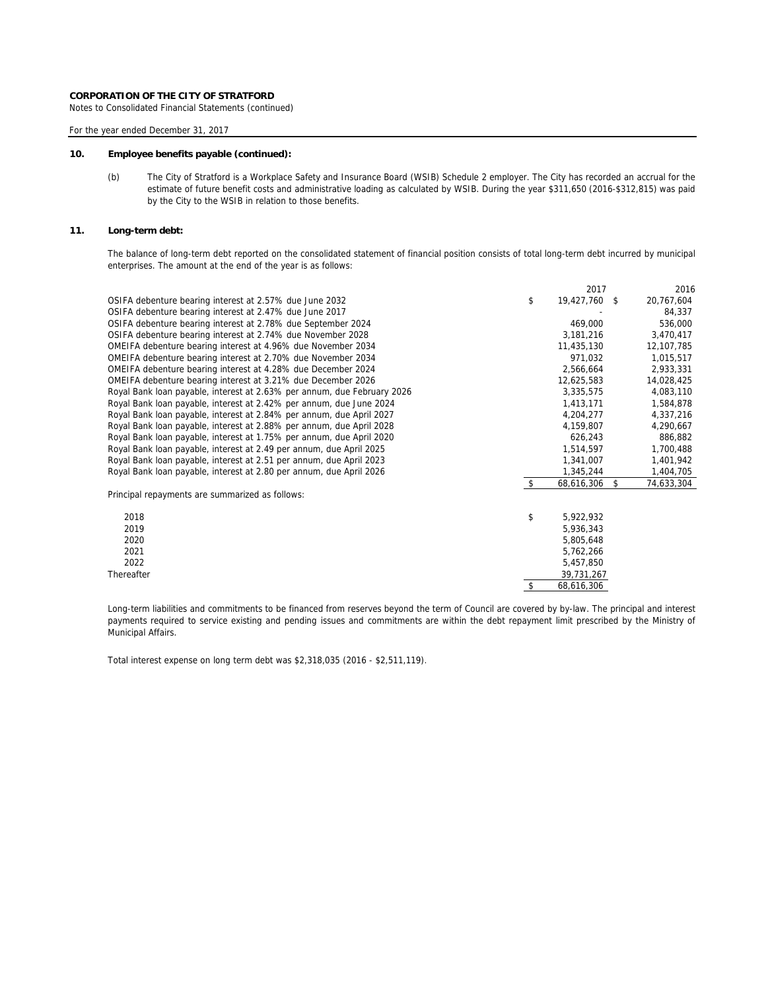Notes to Consolidated Financial Statements (continued)

For the year ended December 31, 2017

## **10. Employee benefits payable (continued):**

(b) The City of Stratford is a Workplace Safety and Insurance Board (WSIB) Schedule 2 employer. The City has recorded an accrual for the estimate of future benefit costs and administrative loading as calculated by WSIB. During the year \$311,650 (2016-\$312,815) was paid by the City to the WSIB in relation to those benefits.

# **11. Long-term debt:**

The balance of long-term debt reported on the consolidated statement of financial position consists of total long-term debt incurred by municipal enterprises. The amount at the end of the year is as follows:

|                                                                         |     | 2017          | 2016             |
|-------------------------------------------------------------------------|-----|---------------|------------------|
| OSIFA debenture bearing interest at 2.57% due June 2032                 | \$  | 19,427,760 \$ | 20,767,604       |
| OSIFA debenture bearing interest at 2.47% due June 2017                 |     |               | 84,337           |
| OSIFA debenture bearing interest at 2.78% due September 2024            |     | 469,000       | 536,000          |
| OSIFA debenture bearing interest at 2.74% due November 2028             |     | 3,181,216     | 3,470,417        |
| OMEIFA debenture bearing interest at 4.96% due November 2034            |     | 11,435,130    | 12,107,785       |
| OMEIFA debenture bearing interest at 2.70% due November 2034            |     | 971,032       | 1,015,517        |
| OMEIFA debenture bearing interest at 4.28% due December 2024            |     | 2,566,664     | 2,933,331        |
| OMEIFA debenture bearing interest at 3.21% due December 2026            |     | 12,625,583    | 14,028,425       |
| Royal Bank loan payable, interest at 2.63% per annum, due February 2026 |     | 3,335,575     | 4,083,110        |
| Royal Bank loan payable, interest at 2.42% per annum, due June 2024     |     | 1,413,171     | 1,584,878        |
| Royal Bank loan payable, interest at 2.84% per annum, due April 2027    |     | 4,204,277     | 4,337,216        |
| Royal Bank loan payable, interest at 2.88% per annum, due April 2028    |     | 4,159,807     | 4,290,667        |
| Royal Bank loan payable, interest at 1.75% per annum, due April 2020    |     | 626,243       | 886,882          |
| Royal Bank loan payable, interest at 2.49 per annum, due April 2025     |     | 1,514,597     | 1,700,488        |
| Royal Bank loan payable, interest at 2.51 per annum, due April 2023     |     | 1,341,007     | 1,401,942        |
| Royal Bank loan payable, interest at 2.80 per annum, due April 2026     |     | 1,345,244     | 1,404,705        |
|                                                                         | -\$ | 68,616,306    | \$<br>74,633,304 |
| Principal repayments are summarized as follows:                         |     |               |                  |
| 2018                                                                    | \$  | 5,922,932     |                  |
| 2019                                                                    |     | 5,936,343     |                  |
| 2020                                                                    |     | 5,805,648     |                  |
| 2021                                                                    |     | 5,762,266     |                  |
| 2022                                                                    |     | 5,457,850     |                  |
| Thereafter                                                              |     | 39,731,267    |                  |
|                                                                         | \$  | 68,616,306    |                  |

Long-term liabilities and commitments to be financed from reserves beyond the term of Council are covered by by-law. The principal and interest payments required to service existing and pending issues and commitments are within the debt repayment limit prescribed by the Ministry of Municipal Affairs.

Total interest expense on long term debt was \$2,318,035 (2016 - \$2,511,119).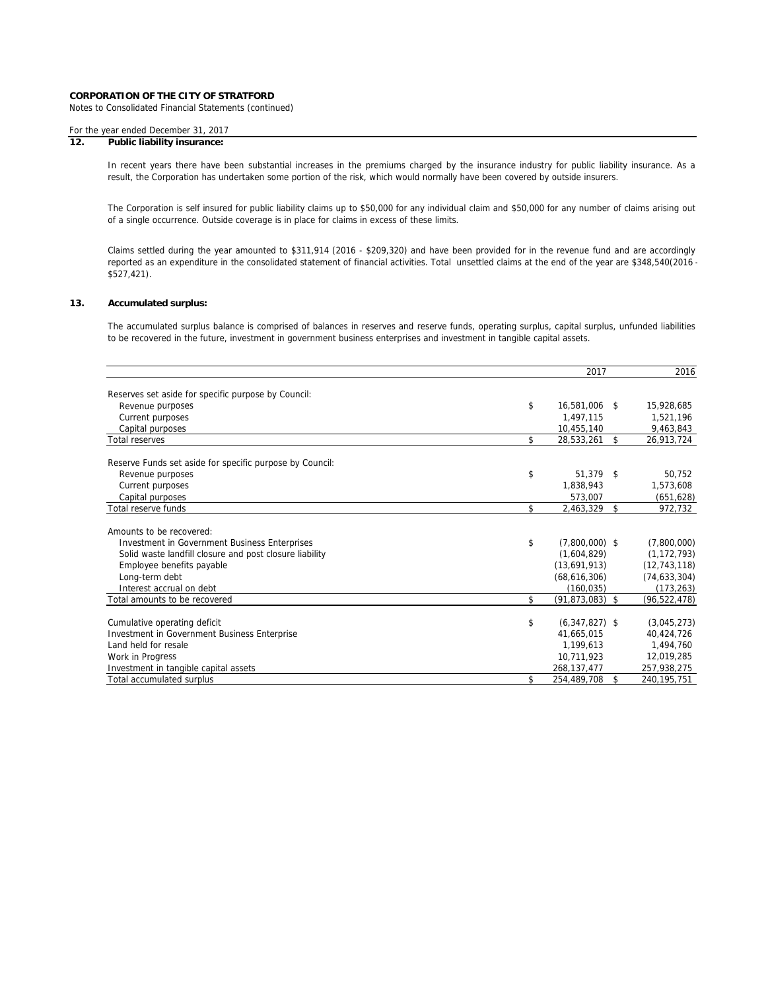Notes to Consolidated Financial Statements (continued)

# For the year ended December 31, 2017

# **12. Public liability insurance:**

In recent years there have been substantial increases in the premiums charged by the insurance industry for public liability insurance. As a result, the Corporation has undertaken some portion of the risk, which would normally have been covered by outside insurers.

The Corporation is self insured for public liability claims up to \$50,000 for any individual claim and \$50,000 for any number of claims arising out of a single occurrence. Outside coverage is in place for claims in excess of these limits.

Claims settled during the year amounted to \$311,914 (2016 - \$209,320) and have been provided for in the revenue fund and are accordingly reported as an expenditure in the consolidated statement of financial activities. Total unsettled claims at the end of the year are \$348,540(2016 -\$527,421).

## **13. Accumulated surplus:**

The accumulated surplus balance is comprised of balances in reserves and reserve funds, operating surplus, capital surplus, unfunded liabilities to be recovered in the future, investment in government business enterprises and investment in tangible capital assets.

|                                                          | 2017                    |                    | 2016           |
|----------------------------------------------------------|-------------------------|--------------------|----------------|
|                                                          |                         |                    |                |
| Reserves set aside for specific purpose by Council:      |                         |                    |                |
| Revenue purposes                                         | \$<br>16,581,006        | $\mathbf{\hat{S}}$ | 15,928,685     |
| Current purposes                                         | 1.497.115               |                    | 1,521,196      |
| Capital purposes                                         | 10,455,140              |                    | 9,463,843      |
| <b>Total reserves</b>                                    | \$<br>28,533,261        | \$                 | 26,913,724     |
| Reserve Funds set aside for specific purpose by Council: |                         |                    |                |
| Revenue purposes                                         | \$<br>51,379            | \$                 | 50,752         |
| Current purposes                                         | 1,838,943               |                    | 1,573,608      |
| Capital purposes                                         | 573.007                 |                    | (651, 628)     |
| Total reserve funds                                      | \$<br>2,463,329         | \$                 | 972,732        |
| Amounts to be recovered:                                 |                         |                    |                |
| <b>Investment in Government Business Enterprises</b>     | \$<br>$(7,800,000)$ \$  |                    | (7,800,000)    |
| Solid waste landfill closure and post closure liability  | (1,604,829)             |                    | (1, 172, 793)  |
| Employee benefits payable                                | (13,691,913)            |                    | (12, 743, 118) |
| Long-term debt                                           | (68,616,306)            |                    | (74, 633, 304) |
| Interest accrual on debt                                 | (160, 035)              |                    | (173, 263)     |
| Total amounts to be recovered                            | \$<br>$(91,873,083)$ \$ |                    | (96, 522, 478) |
|                                                          |                         |                    |                |
| Cumulative operating deficit                             | \$<br>$(6,347,827)$ \$  |                    | (3,045,273)    |
| Investment in Government Business Enterprise             | 41,665,015              |                    | 40,424,726     |
| Land held for resale                                     | 1,199,613               |                    | 1,494,760      |
| Work in Progress                                         | 10,711,923              |                    | 12.019.285     |
| Investment in tangible capital assets                    | 268, 137, 477           |                    | 257,938,275    |
| Total accumulated surplus                                | \$<br>254,489,708       | \$                 | 240, 195, 751  |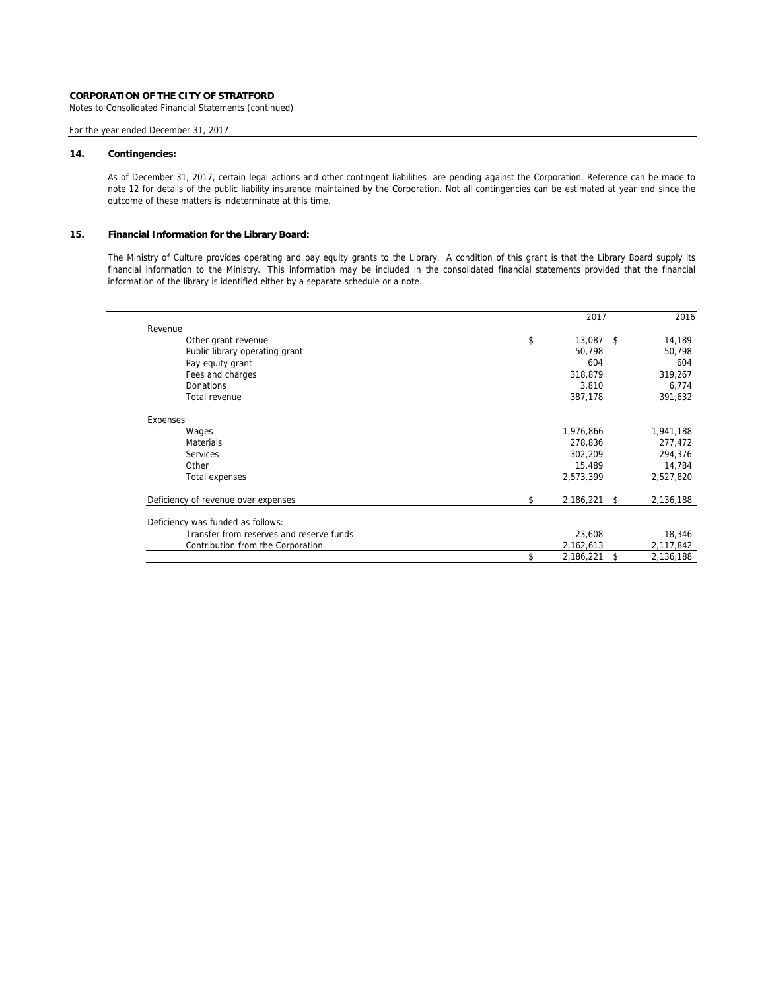Notes to Consolidated Financial Statements (continued)

# For the year ended December 31, 2017

## **14. Contingencies:**

As of December 31, 2017, certain legal actions and other contingent liabilities are pending against the Corporation. Reference can be made to note 12 for details of the public liability insurance maintained by the Corporation. Not all contingencies can be estimated at year end since the outcome of these matters is indeterminate at this time.

# **15. Financial Information for the Library Board:**

The Ministry of Culture provides operating and pay equity grants to the Library. A condition of this grant is that the Library Board supply its financial information to the Ministry. This information may be included in the consolidated financial statements provided that the financial information of the library is identified either by a separate schedule or a note.

|                                     |                                          | 2017            | 2016            |
|-------------------------------------|------------------------------------------|-----------------|-----------------|
| Revenue                             |                                          |                 |                 |
| Other grant revenue                 |                                          | \$<br>13,087 \$ | 14,189          |
| Public library operating grant      |                                          | 50.798          | 50,798          |
| Pay equity grant                    |                                          | 604             | 604             |
| Fees and charges                    |                                          | 318,879         | 319,267         |
| <b>Donations</b>                    |                                          | 3,810           | 6,774           |
| Total revenue                       |                                          | 387,178         | 391,632         |
| Expenses                            |                                          |                 |                 |
| Wages                               |                                          | 1,976,866       | 1,941,188       |
| <b>Materials</b>                    |                                          | 278,836         | 277,472         |
| Services                            |                                          | 302,209         | 294,376         |
| Other                               |                                          | 15,489          | 14,784          |
| Total expenses                      |                                          | 2,573,399       | 2,527,820       |
| Deficiency of revenue over expenses |                                          | \$<br>2,186,221 | \$<br>2,136,188 |
| Deficiency was funded as follows:   |                                          |                 |                 |
|                                     | Transfer from reserves and reserve funds | 23,608          | 18,346          |
| Contribution from the Corporation   |                                          | 2,162,613       | 2,117,842       |
|                                     |                                          | 2,186,221       | \$<br>2,136,188 |
|                                     |                                          |                 |                 |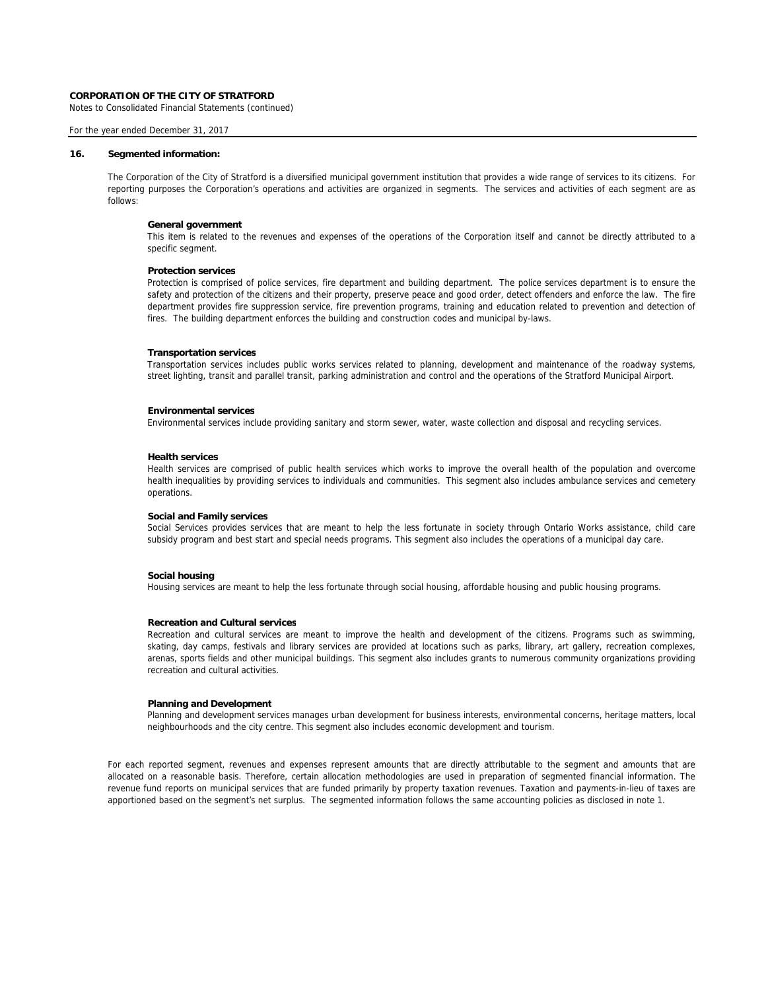Notes to Consolidated Financial Statements (continued)

## For the year ended December 31, 2017

### **16. Segmented information:**

The Corporation of the City of Stratford is a diversified municipal government institution that provides a wide range of services to its citizens. For reporting purposes the Corporation's operations and activities are organized in segments. The services and activities of each segment are as follows:

# **General government**

This item is related to the revenues and expenses of the operations of the Corporation itself and cannot be directly attributed to a specific segment.

#### **Protection services**

Protection is comprised of police services, fire department and building department. The police services department is to ensure the safety and protection of the citizens and their property, preserve peace and good order, detect offenders and enforce the law. The fire department provides fire suppression service, fire prevention programs, training and education related to prevention and detection of fires. The building department enforces the building and construction codes and municipal by-laws.

#### **Transportation services**

Transportation services includes public works services related to planning, development and maintenance of the roadway systems, street lighting, transit and parallel transit, parking administration and control and the operations of the Stratford Municipal Airport.

### **Environmental services**

Environmental services include providing sanitary and storm sewer, water, waste collection and disposal and recycling services.

#### **Health services**

Health services are comprised of public health services which works to improve the overall health of the population and overcome health inequalities by providing services to individuals and communities. This segment also includes ambulance services and cemetery operations.

### **Social and Family services**

Social Services provides services that are meant to help the less fortunate in society through Ontario Works assistance, child care subsidy program and best start and special needs programs. This segment also includes the operations of a municipal day care.

# **Social housing**

Housing services are meant to help the less fortunate through social housing, affordable housing and public housing programs.

### **Recreation and Cultural services**

Recreation and cultural services are meant to improve the health and development of the citizens. Programs such as swimming, skating, day camps, festivals and library services are provided at locations such as parks, library, art gallery, recreation complexes, arenas, sports fields and other municipal buildings. This segment also includes grants to numerous community organizations providing recreation and cultural activities.

## **Planning and Development**

Planning and development services manages urban development for business interests, environmental concerns, heritage matters, local neighbourhoods and the city centre. This segment also includes economic development and tourism.

For each reported segment, revenues and expenses represent amounts that are directly attributable to the segment and amounts that are allocated on a reasonable basis. Therefore, certain allocation methodologies are used in preparation of segmented financial information. The revenue fund reports on municipal services that are funded primarily by property taxation revenues. Taxation and payments-in-lieu of taxes are apportioned based on the segment's net surplus. The segmented information follows the same accounting policies as disclosed in note 1.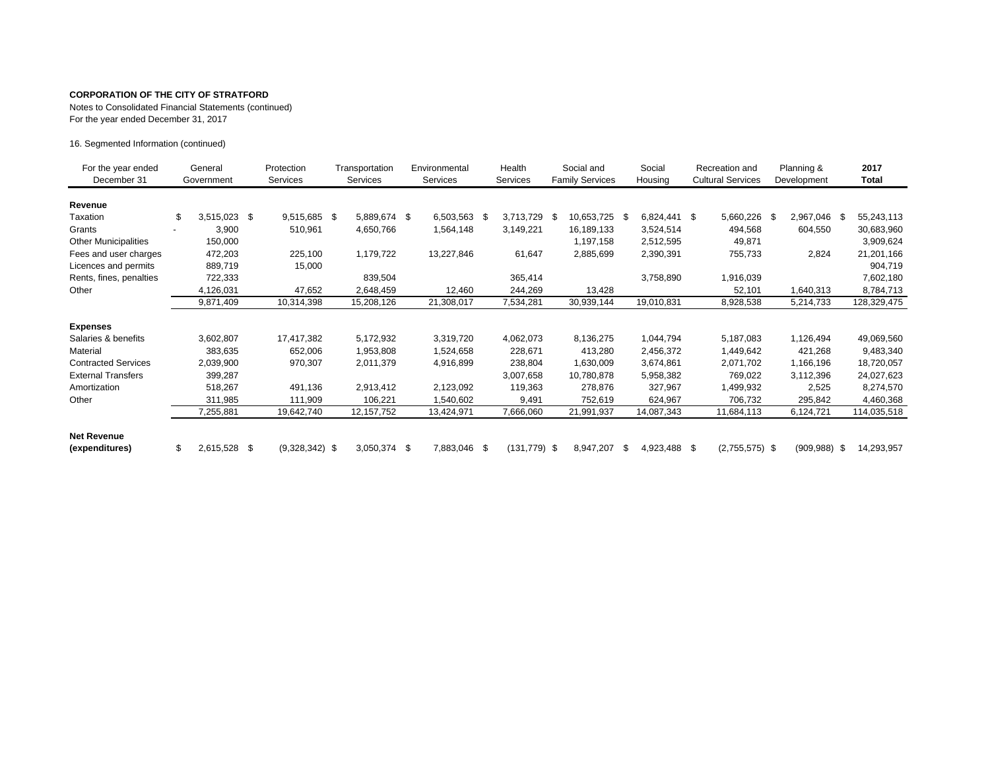Notes to Consolidated Financial Statements (continued)

For the year ended December 31, 2017

16. Segmented Information (continued)

| For the year ended<br>December 31    | General<br>Government |              |  |                  | Protection<br><b>Services</b> | Transportation<br><b>Services</b> |            | Environmental<br>Services |                 | Health<br><b>Services</b> |               | Social and<br><b>Family Services</b> |              | Social<br>Housing |                  | Recreation and<br><b>Cultural Services</b> |                 | Planning &<br>Development |             | 2017<br><b>Total</b> |
|--------------------------------------|-----------------------|--------------|--|------------------|-------------------------------|-----------------------------------|------------|---------------------------|-----------------|---------------------------|---------------|--------------------------------------|--------------|-------------------|------------------|--------------------------------------------|-----------------|---------------------------|-------------|----------------------|
| Revenue                              |                       |              |  |                  |                               |                                   |            |                           |                 |                           |               |                                      |              |                   |                  |                                            |                 |                           |             |                      |
| Taxation                             |                       | 3,515,023 \$ |  | 9,515,685 \$     |                               | 5,889,674 \$                      | 6,503,563  | - \$                      | 3,713,729       | -\$                       | 10,653,725 \$ |                                      | 6,824,441 \$ |                   | 5,660,226        | - \$                                       | 2,967,046<br>S  |                           | 55,243,113  |                      |
| Grants                               |                       | 3,900        |  | 510,961          |                               | 4,650,766                         | 1,564,148  |                           | 3,149,221       |                           | 16,189,133    |                                      | 3,524,514    |                   | 494,568          |                                            | 604,550         |                           | 30,683,960  |                      |
| <b>Other Municipalities</b>          |                       | 150,000      |  |                  |                               |                                   |            |                           |                 |                           | 1,197,158     |                                      | 2,512,595    |                   | 49,871           |                                            |                 |                           | 3,909,624   |                      |
| Fees and user charges                |                       | 472,203      |  | 225,100          |                               | 1,179,722                         | 13,227,846 |                           | 61,647          |                           | 2,885,699     |                                      | 2,390,391    |                   | 755,733          |                                            | 2,824           |                           | 21,201,166  |                      |
| Licences and permits                 |                       | 889,719      |  | 15,000           |                               |                                   |            |                           |                 |                           |               |                                      |              |                   |                  |                                            |                 |                           | 904,719     |                      |
| Rents, fines, penalties              |                       | 722,333      |  |                  |                               | 839,504                           |            |                           | 365,414         |                           |               |                                      | 3,758,890    |                   | 1,916,039        |                                            |                 |                           | 7,602,180   |                      |
| Other                                |                       | 4,126,031    |  | 47,652           |                               | 2,648,459                         | 12,460     |                           | 244,269         |                           | 13,428        |                                      |              |                   | 52,101           |                                            | 1,640,313       |                           | 8,784,713   |                      |
|                                      |                       | 9,871,409    |  | 10,314,398       |                               | 15,208,126                        | 21,308,017 |                           | 7,534,281       |                           | 30,939,144    |                                      | 19,010,831   |                   | 8,928,538        |                                            | 5,214,733       |                           | 128,329,475 |                      |
| <b>Expenses</b>                      |                       |              |  |                  |                               |                                   |            |                           |                 |                           |               |                                      |              |                   |                  |                                            |                 |                           |             |                      |
| Salaries & benefits                  |                       | 3,602,807    |  | 17,417,382       |                               | 5,172,932                         | 3,319,720  |                           | 4,062,073       |                           | 8,136,275     |                                      | 1,044,794    |                   | 5,187,083        |                                            | 1,126,494       |                           | 49,069,560  |                      |
| Material                             |                       | 383,635      |  | 652,006          |                               | 1,953,808                         | 1,524,658  |                           | 228,671         |                           | 413,280       |                                      | 2,456,372    |                   | 1,449,642        |                                            | 421,268         |                           | 9,483,340   |                      |
| <b>Contracted Services</b>           |                       | 2,039,900    |  | 970,307          |                               | 2,011,379                         | 4,916,899  |                           | 238,804         |                           | 1,630,009     |                                      | 3,674,861    |                   | 2,071,702        |                                            | 1,166,196       |                           | 18,720,057  |                      |
| <b>External Transfers</b>            |                       | 399,287      |  |                  |                               |                                   |            |                           | 3,007,658       |                           | 10,780,878    |                                      | 5,958,382    |                   | 769,022          |                                            | 3,112,396       |                           | 24,027,623  |                      |
| Amortization                         |                       | 518,267      |  | 491,136          |                               | 2,913,412                         | 2,123,092  |                           | 119,363         |                           | 278,876       |                                      | 327,967      |                   | 1,499,932        |                                            | 2,525           |                           | 8,274,570   |                      |
| Other                                |                       | 311,985      |  | 111,909          |                               | 106,221                           | 1,540,602  |                           | 9,491           |                           | 752,619       |                                      | 624,967      |                   | 706,732          |                                            | 295,842         |                           | 4,460,368   |                      |
|                                      |                       | 7,255,881    |  | 19,642,740       |                               | 12, 157, 752                      | 13,424,971 |                           | 7,666,060       |                           | 21,991,937    |                                      | 14,087,343   |                   | 11,684,113       |                                            | 6,124,721       |                           | 114,035,518 |                      |
| <b>Net Revenue</b><br>(expenditures) |                       | 2,615,528 \$ |  | $(9,328,342)$ \$ |                               | 3,050,374 \$                      | 7,883,046  | - \$                      | $(131, 779)$ \$ |                           | 8,947,207     | - \$                                 | 4,923,488 \$ |                   | $(2,755,575)$ \$ |                                            | $(909, 988)$ \$ |                           | 14,293,957  |                      |
|                                      |                       |              |  |                  |                               |                                   |            |                           |                 |                           |               |                                      |              |                   |                  |                                            |                 |                           |             |                      |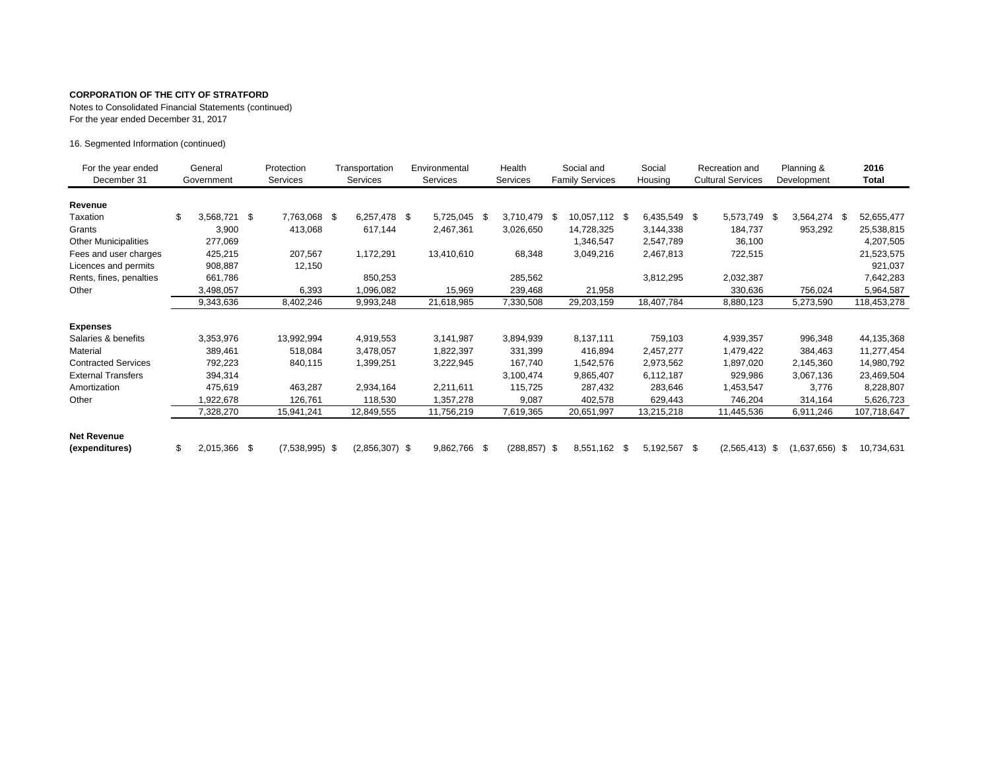Notes to Consolidated Financial Statements (continued)

For the year ended December 31, 2017

16. Segmented Information (continued)

| For the year ended<br>December 31 | General<br>Government |              |                    |  |                  |  | Protection<br><b>Services</b> | Transportation<br>Services |                 | Environmental<br><b>Services</b> |               | Health<br>Services |              | Social and<br><b>Family Services</b> |                  | Social<br>Housing |                  | Recreation and<br><b>Cultural Services</b> |             | Planning &<br>Development |  | 2016<br>Total |  |
|-----------------------------------|-----------------------|--------------|--------------------|--|------------------|--|-------------------------------|----------------------------|-----------------|----------------------------------|---------------|--------------------|--------------|--------------------------------------|------------------|-------------------|------------------|--------------------------------------------|-------------|---------------------------|--|---------------|--|
| Revenue                           |                       |              |                    |  |                  |  |                               |                            |                 |                                  |               |                    |              |                                      |                  |                   |                  |                                            |             |                           |  |               |  |
| Taxation                          | \$                    | 3,568,721    | \$<br>7,763,068 \$ |  | 6,257,478 \$     |  | 5,725,045                     | - \$                       | 3,710,479       | -\$                              | 10,057,112 \$ |                    | 6,435,549 \$ |                                      | 5,573,749 \$     |                   | 3,564,274<br>-S  |                                            | 52,655,477  |                           |  |               |  |
| Grants                            |                       | 3,900        | 413,068            |  | 617,144          |  | 2,467,361                     |                            | 3,026,650       |                                  | 14,728,325    |                    | 3,144,338    |                                      | 184,737          |                   | 953,292          |                                            | 25,538,815  |                           |  |               |  |
| <b>Other Municipalities</b>       |                       | 277,069      |                    |  |                  |  |                               |                            |                 |                                  | 1,346,547     |                    | 2,547,789    |                                      | 36,100           |                   |                  |                                            | 4,207,505   |                           |  |               |  |
| Fees and user charges             |                       | 425,215      | 207,567            |  | 1,172,291        |  | 13,410,610                    |                            | 68,348          |                                  | 3,049,216     |                    | 2,467,813    |                                      | 722,515          |                   |                  |                                            | 21,523,575  |                           |  |               |  |
| Licences and permits              |                       | 908,887      | 12,150             |  |                  |  |                               |                            |                 |                                  |               |                    |              |                                      |                  |                   |                  |                                            | 921,037     |                           |  |               |  |
| Rents, fines, penalties           |                       | 661,786      |                    |  | 850,253          |  |                               |                            | 285,562         |                                  |               |                    | 3,812,295    |                                      | 2,032,387        |                   |                  |                                            | 7,642,283   |                           |  |               |  |
| Other                             |                       | 3,498,057    | 6,393              |  | 1,096,082        |  | 15,969                        |                            | 239,468         |                                  | 21,958        |                    |              |                                      | 330,636          |                   | 756,024          |                                            | 5,964,587   |                           |  |               |  |
|                                   |                       | 9,343,636    | 8,402,246          |  | 9,993,248        |  | 21,618,985                    |                            | 7,330,508       |                                  | 29,203,159    |                    | 18,407,784   |                                      | 8,880,123        |                   | 5,273,590        |                                            | 118,453,278 |                           |  |               |  |
| <b>Expenses</b>                   |                       |              |                    |  |                  |  |                               |                            |                 |                                  |               |                    |              |                                      |                  |                   |                  |                                            |             |                           |  |               |  |
| Salaries & benefits               |                       | 3,353,976    | 13,992,994         |  | 4,919,553        |  | 3,141,987                     |                            | 3,894,939       |                                  | 8,137,111     |                    | 759,103      |                                      | 4,939,357        |                   | 996,348          |                                            | 44,135,368  |                           |  |               |  |
| Material                          |                       | 389,461      | 518,084            |  | 3,478,057        |  | 1,822,397                     |                            | 331,399         |                                  | 416,894       |                    | 2,457,277    |                                      | 1,479,422        |                   | 384,463          |                                            | 11,277,454  |                           |  |               |  |
| <b>Contracted Services</b>        |                       | 792,223      | 840,115            |  | 1,399,251        |  | 3,222,945                     |                            | 167,740         |                                  | 1,542,576     |                    | 2,973,562    |                                      | 1,897,020        |                   | 2,145,360        |                                            | 14,980,792  |                           |  |               |  |
| <b>External Transfers</b>         |                       | 394,314      |                    |  |                  |  |                               |                            | 3,100,474       |                                  | 9,865,407     |                    | 6,112,187    |                                      | 929,986          |                   | 3,067,136        |                                            | 23,469,504  |                           |  |               |  |
| Amortization                      |                       | 475,619      | 463,287            |  | 2,934,164        |  | 2,211,611                     |                            | 115,725         |                                  | 287,432       |                    | 283,646      |                                      | 1,453,547        |                   | 3,776            |                                            | 8,228,807   |                           |  |               |  |
| Other                             |                       | 1,922,678    | 126,761            |  | 118,530          |  | 1,357,278                     |                            | 9,087           |                                  | 402,578       |                    | 629,443      |                                      | 746,204          |                   | 314,164          |                                            | 5,626,723   |                           |  |               |  |
|                                   |                       | 7,328,270    | 15,941,241         |  | 12,849,555       |  | 11,756,219                    |                            | 7,619,365       |                                  | 20,651,997    |                    | 13,215,218   |                                      | 11,445,536       |                   | 6,911,246        |                                            | 107,718,647 |                           |  |               |  |
| <b>Net Revenue</b>                |                       |              |                    |  |                  |  |                               |                            |                 |                                  |               |                    |              |                                      |                  |                   |                  |                                            |             |                           |  |               |  |
| (expenditures)                    |                       | 2,015,366 \$ | $(7,538,995)$ \$   |  | $(2,856,307)$ \$ |  | 9,862,766 \$                  |                            | $(288, 857)$ \$ |                                  | 8,551,162 \$  |                    | 5,192,567 \$ |                                      | $(2,565,413)$ \$ |                   | $(1,637,656)$ \$ |                                            | 10,734,631  |                           |  |               |  |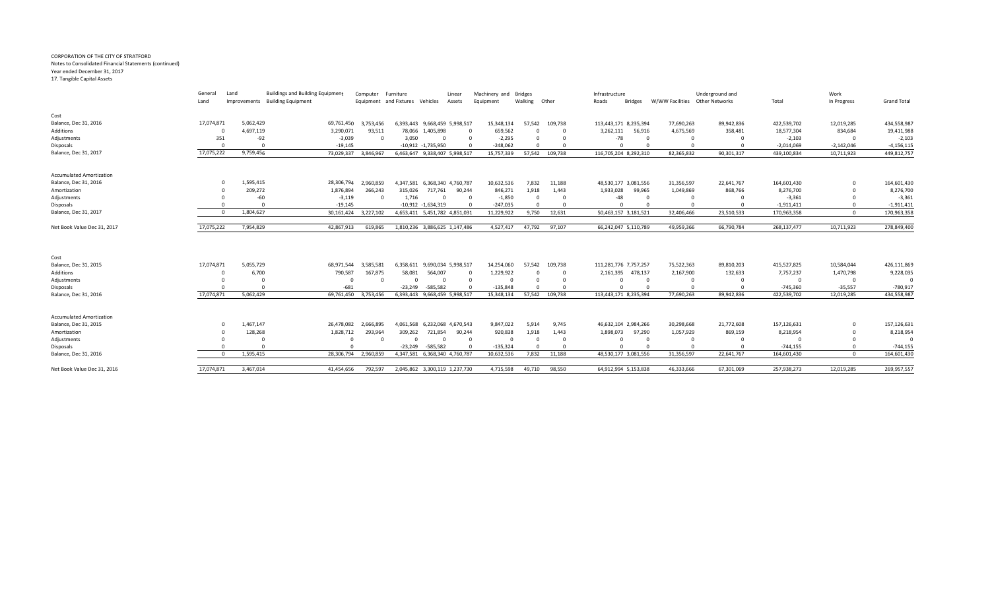#### CORPORATION OF THE CITY OF STRATFORD Notes to Consolidated Financial Statements (continued) Year ended December 31, 2017

17. Tangible Capital Assets

|                                 | General<br>Land | Land<br>Improvements | <b>Buildings and Building Equipment</b><br><b>Building Equipment</b> | Computer Furniture | Equipment and Fixtures Vehicles |                               | Linear<br>Assets | Machinery and Bridges<br>Equipment | Walking Other |                | Infrastructure<br><b>Bridges</b><br>Roads | W/WW Facilities   Other Networks | Underground and | Total        | Work<br>In Progress | <b>Grand Total</b> |
|---------------------------------|-----------------|----------------------|----------------------------------------------------------------------|--------------------|---------------------------------|-------------------------------|------------------|------------------------------------|---------------|----------------|-------------------------------------------|----------------------------------|-----------------|--------------|---------------------|--------------------|
| Cost                            |                 |                      |                                                                      |                    |                                 |                               |                  |                                    |               |                |                                           |                                  |                 |              |                     |                    |
| Balance, Dec 31, 2016           | 17,074,871      | 5,062,429            | 69,761,450                                                           | 3,753,456          |                                 | 6,393,443 9,668,459 5,998,517 |                  | 15,348,134                         |               | 57,542 109,738 | 113,443,171 8,235,394                     | 77,690,263                       | 89,942,836      | 422,539,702  | 12,019,285          | 434,558,987        |
| Additions                       |                 | 4,697,119            | 3,290,071                                                            | 93,511             |                                 | 78,066 1,405,898              |                  | 659,562                            | $\Omega$      |                | 3,262,111<br>56,916                       | 4,675,569                        | 358,481         | 18,577,304   | 834,684             | 19,411,988         |
| Adjustments                     | 351             | $-92$                | $-3,039$                                                             | $\Omega$           | 3,050                           | $\Omega$                      |                  | $-2,295$                           | $\Omega$      |                | $-78$                                     | - 0                              |                 | $-2,103$     | $\Omega$            | $-2,103$           |
| Disposals                       |                 |                      | $-19,145$                                                            |                    |                                 | $-10,912$ $-1,735,950$        |                  | $-248,062$                         | $\Omega$      |                |                                           |                                  |                 | $-2,014,069$ | $-2,142,046$        | $-4,156,115$       |
| Balance, Dec 31, 2017           | 17,075,222      | 9,759,456            | 73,029,337                                                           | 3,846,967          |                                 | 6,463,647 9,338,407 5,998,517 |                  | 15,757,339                         | 57,542        | 109,738        | 116,705,204 8,292,310                     | 82,365,832                       | 90,301,317      | 439,100,834  | 10,711,923          | 449,812,757        |
| <b>Accumulated Amortization</b> |                 |                      |                                                                      |                    |                                 |                               |                  |                                    |               |                |                                           |                                  |                 |              |                     |                    |
| Balance, Dec 31, 2016           | $\Omega$        | 1,595,415            | 28,306,794                                                           | 2,960,859          |                                 | 4,347,581 6,368,340 4,760,787 |                  | 10,632,536                         | 7,832         | 11,188         | 48,530,177 3,081,556                      | 31,356,597                       | 22,641,767      | 164,601,430  | $\Omega$            | 164,601,430        |
| Amortization                    |                 | 209,272              | 1,876,894                                                            | 266,243            | 315,026                         | 717,761                       | 90,244           | 846,271                            | 1,918         | 1,443          | 1,933,028<br>99,965                       | 1,049,869                        | 868,766         | 8,276,700    |                     | 8,276,700          |
| Adjustments                     |                 | $-60$                | $-3,119$                                                             | $\Omega$           | 1,716                           | $\Omega$                      | $\Omega$         | $-1,850$                           | $\Omega$      | 0              | $-48$                                     | $\Omega$                         |                 | $-3,361$     |                     | $-3,361$           |
| Disposals                       |                 | $\Omega$             | $-19,145$                                                            |                    |                                 | $-10,912$ $-1,634,319$        |                  | $-247,035$                         | $\Omega$      |                |                                           |                                  |                 | $-1,911,411$ |                     | $-1,911,411$       |
| Balance, Dec 31, 2017           |                 | 1,804,627            | 30,161,424                                                           | 3,227,102          |                                 | 4,653,411 5,451,782 4,851,031 |                  | 11,229,922                         | 9,750         | 12,631         | 50,463,157 3,181,521                      | 32,406,466                       | 23,510,533      | 170,963,358  | $\Omega$            | 170,963,358        |
| Net Book Value Dec 31, 2017     | 17,075,222      | 7,954,829            | 42,867,913                                                           | 619,865            |                                 | 1,810,236 3,886,625 1,147,486 |                  | 4,527,417                          | 47,792        | 97,107         | 66,242,047 5,110,789                      | 49,959,366                       | 66,790,784      | 268,137,477  | 10,711,923          | 278,849,400        |
| Cost                            |                 |                      |                                                                      |                    |                                 |                               |                  |                                    |               |                |                                           |                                  |                 |              |                     |                    |
| Balance, Dec 31, 2015           | 17,074,871      | 5,055,729            | 68.971.544                                                           | 3.585.581          |                                 | 6,358,611 9,690,034 5,998,517 |                  | 14,254,060                         | 57,542        | 109,738        | 111,281,776 7,757,257                     | 75,522,363                       | 89,810,203      | 415,527,825  | 10,584,044          | 426,111,869        |
| Additions                       |                 | 6,700                | 790,587                                                              | 167,875            | 58,081                          | 564,007                       |                  | 1,229,922                          |               |                | 2,161,395 478,137                         | 2,167,900                        | 132,633         | 7,757,237    | 1,470,798           | 9,228,035          |
| Adjustments                     |                 |                      |                                                                      | $\Omega$           | $\Omega$                        |                               |                  |                                    |               |                |                                           | $\Omega$                         |                 |              | $\Omega$            | $\Omega$           |
| Disposals                       |                 |                      | $-681$                                                               |                    | $-23,249$                       | $-585,582$                    |                  | $-135,848$                         |               |                |                                           |                                  |                 | $-745,360$   | $-35,557$           | $-780,917$         |
| Balance, Dec 31, 2016           | 17,074,871      | 5,062,429            | 69,761,450                                                           | 3.753.456          |                                 | 6,393,443 9,668,459 5,998,517 |                  | 15,348,134                         |               | 57,542 109,738 | 113,443,171 8,235,394                     | 77,690,263                       | 89,942,836      | 422,539,702  | 12,019,285          | 434,558,987        |
| <b>Accumulated Amortization</b> |                 |                      |                                                                      |                    |                                 |                               |                  |                                    |               |                |                                           |                                  |                 |              |                     |                    |
| Balance, Dec 31, 2015           |                 | 1,467,147            | 26.478.082                                                           | 2.666.895          |                                 | 4,061,568 6,232,068 4,670,543 |                  | 9,847,022                          | 5,914         | 9,745          | 46,632,104 2,984,266                      | 30,298,668                       | 21,772,608      | 157,126,631  | $\mathbf 0$         | 157,126,631        |
| Amortization                    |                 | 128,268              | 1,828,712                                                            | 293,964            | 309,262                         | 721,854                       | 90,244           | 920,838                            | 1,918         | 1,443          | 1,898,073<br>97,290                       | 1,057,929                        | 869,159         | 8,218,954    |                     | 8,218,954          |
| Adjustments                     |                 |                      |                                                                      | $\Omega$           | $\Omega$                        | $\Omega$                      | $\mathbf 0$      | $\Omega$                           | $\Omega$      | $\Omega$       | $\Omega$                                  | $\Omega$                         |                 |              |                     | $\Omega$           |
| Disposals                       |                 |                      |                                                                      |                    | $-23,249$                       | $-585,582$                    |                  | $-135,324$                         | $\Omega$      |                |                                           |                                  |                 | $-744,155$   |                     | $-744,155$         |
| Balance, Dec 31, 2016           | $\Omega$        | 1,595,415            | 28,306,794 2,960,859                                                 |                    |                                 | 4,347,581 6,368,340 4,760,787 |                  | 10,632,536                         | 7,832         | 11,188         | 48,530,177 3,081,556                      | 31,356,597                       | 22,641,767      | 164,601,430  | $\Omega$            | 164,601,430        |
| Net Book Value Dec 31, 2016     | 17,074,871      | 3,467,014            | 41.454.656                                                           | 792.597            |                                 | 2.045.862 3.300.119 1.237.730 |                  | 4.715.598                          | 49.710        | 98.550         | 64.912.994 5.153.838                      | 46.333.666                       | 67,301,069      | 257,938,273  | 12,019,285          | 269,957,557        |